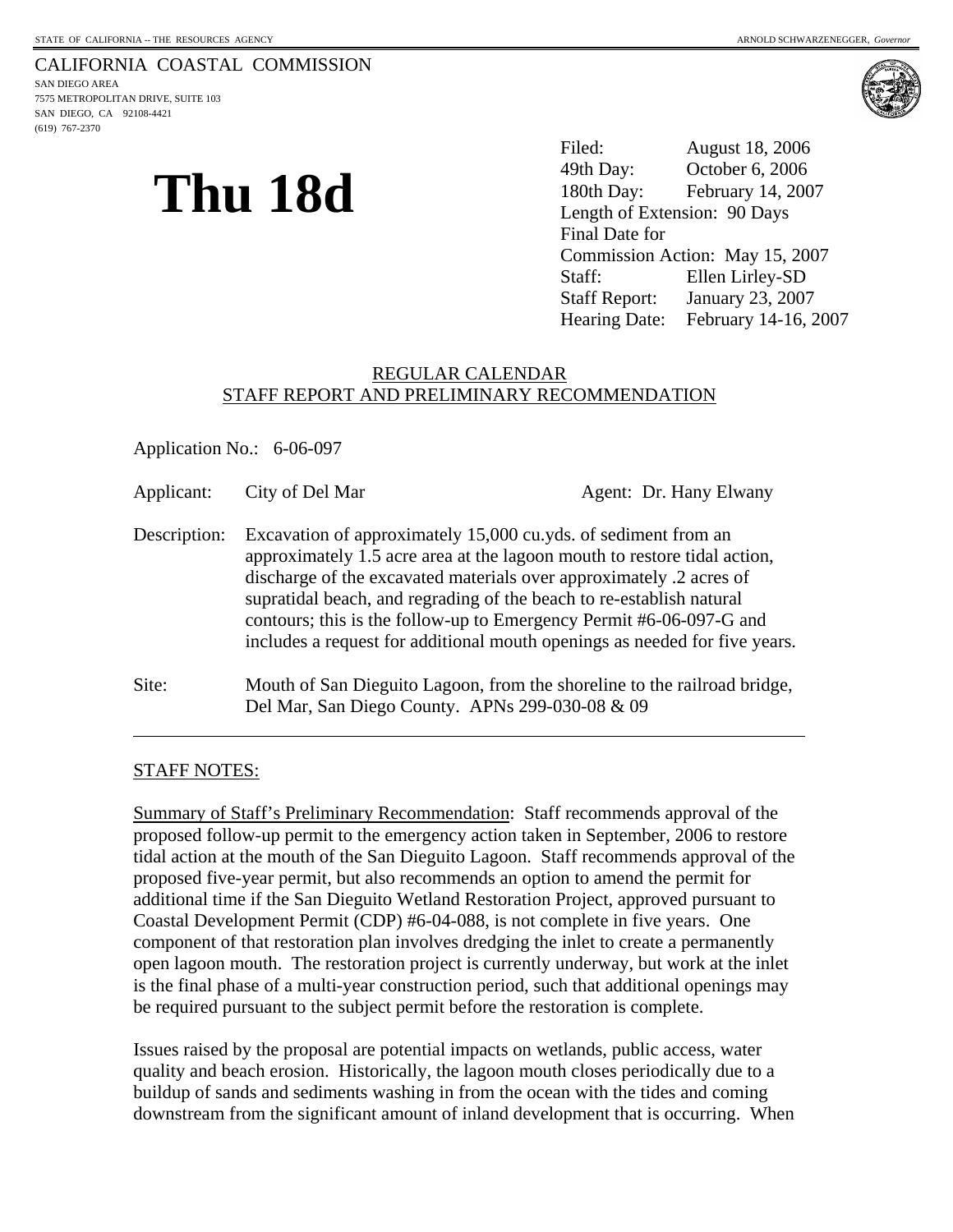## CALIFORNIA COASTAL COMMISSION

SAN DIEGO AREA 7575 METROPOLITAN DRIVE, SUITE 103 SAN DIEGO, CA 92108-4421 (619) 767-2370



# **Thu 18d**

Filed: August 18, 2006 49th Day: October 6, 2006 180th Day: February 14, 2007 Length of Extension: 90 Days Final Date for Commission Action: May 15, 2007 Staff: Ellen Lirley-SD Staff Report: January 23, 2007 Hearing Date: February 14-16, 2007

#### REGULAR CALENDAR STAFF REPORT AND PRELIMINARY RECOMMENDATION

Application No.: 6-06-097

Applicant: City of Del Mar Agent: Dr. Hany Elwany Description: Excavation of approximately 15,000 cu.yds. of sediment from an approximately 1.5 acre area at the lagoon mouth to restore tidal action, discharge of the excavated materials over approximately .2 acres of supratidal beach, and regrading of the beach to re-establish natural contours; this is the follow-up to Emergency Permit #6-06-097-G and includes a request for additional mouth openings as needed for five years. Site: Mouth of San Dieguito Lagoon, from the shoreline to the railroad bridge, Del Mar, San Diego County. APNs 299-030-08 & 09

#### STAFF NOTES:

 $\overline{a}$ 

Summary of Staff's Preliminary Recommendation: Staff recommends approval of the proposed follow-up permit to the emergency action taken in September, 2006 to restore tidal action at the mouth of the San Dieguito Lagoon. Staff recommends approval of the proposed five-year permit, but also recommends an option to amend the permit for additional time if the San Dieguito Wetland Restoration Project, approved pursuant to Coastal Development Permit (CDP) #6-04-088, is not complete in five years. One component of that restoration plan involves dredging the inlet to create a permanently open lagoon mouth. The restoration project is currently underway, but work at the inlet is the final phase of a multi-year construction period, such that additional openings may be required pursuant to the subject permit before the restoration is complete.

Issues raised by the proposal are potential impacts on wetlands, public access, water quality and beach erosion. Historically, the lagoon mouth closes periodically due to a buildup of sands and sediments washing in from the ocean with the tides and coming downstream from the significant amount of inland development that is occurring. When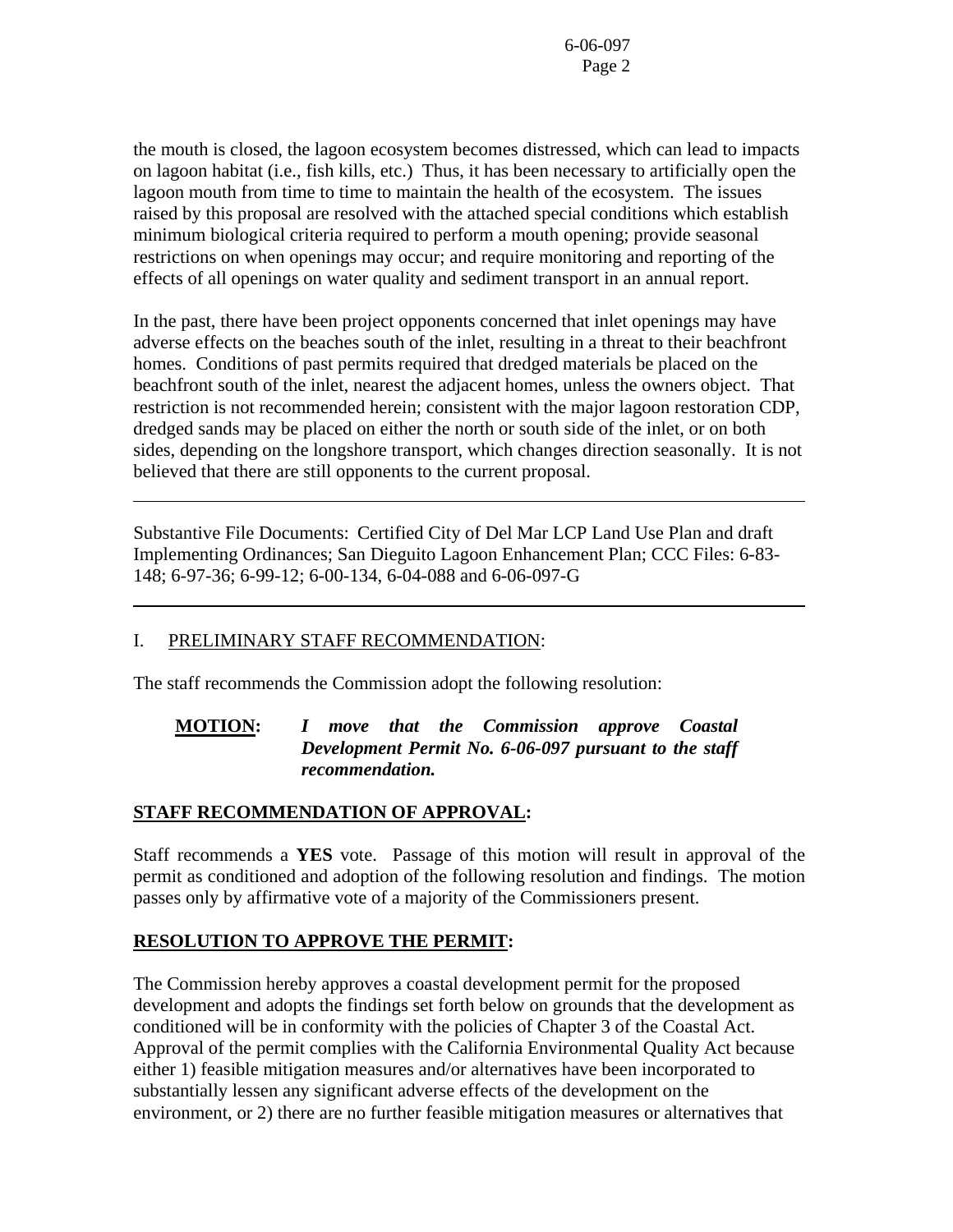the mouth is closed, the lagoon ecosystem becomes distressed, which can lead to impacts on lagoon habitat (i.e., fish kills, etc.) Thus, it has been necessary to artificially open the lagoon mouth from time to time to maintain the health of the ecosystem. The issues raised by this proposal are resolved with the attached special conditions which establish minimum biological criteria required to perform a mouth opening; provide seasonal restrictions on when openings may occur; and require monitoring and reporting of the effects of all openings on water quality and sediment transport in an annual report.

In the past, there have been project opponents concerned that inlet openings may have adverse effects on the beaches south of the inlet, resulting in a threat to their beachfront homes. Conditions of past permits required that dredged materials be placed on the beachfront south of the inlet, nearest the adjacent homes, unless the owners object. That restriction is not recommended herein; consistent with the major lagoon restoration CDP, dredged sands may be placed on either the north or south side of the inlet, or on both sides, depending on the longshore transport, which changes direction seasonally. It is not believed that there are still opponents to the current proposal.

Substantive File Documents: Certified City of Del Mar LCP Land Use Plan and draft Implementing Ordinances; San Dieguito Lagoon Enhancement Plan; CCC Files: 6-83- 148; 6-97-36; 6-99-12; 6-00-134, 6-04-088 and 6-06-097-G

### I. PRELIMINARY STAFF RECOMMENDATION:

l

l

The staff recommends the Commission adopt the following resolution:

#### **MOTION:** *I move that the Commission approve Coastal Development Permit No. 6-06-097 pursuant to the staff recommendation.*

### **STAFF RECOMMENDATION OF APPROVAL:**

Staff recommends a **YES** vote. Passage of this motion will result in approval of the permit as conditioned and adoption of the following resolution and findings. The motion passes only by affirmative vote of a majority of the Commissioners present.

### **RESOLUTION TO APPROVE THE PERMIT:**

The Commission hereby approves a coastal development permit for the proposed development and adopts the findings set forth below on grounds that the development as conditioned will be in conformity with the policies of Chapter 3 of the Coastal Act. Approval of the permit complies with the California Environmental Quality Act because either 1) feasible mitigation measures and/or alternatives have been incorporated to substantially lessen any significant adverse effects of the development on the environment, or 2) there are no further feasible mitigation measures or alternatives that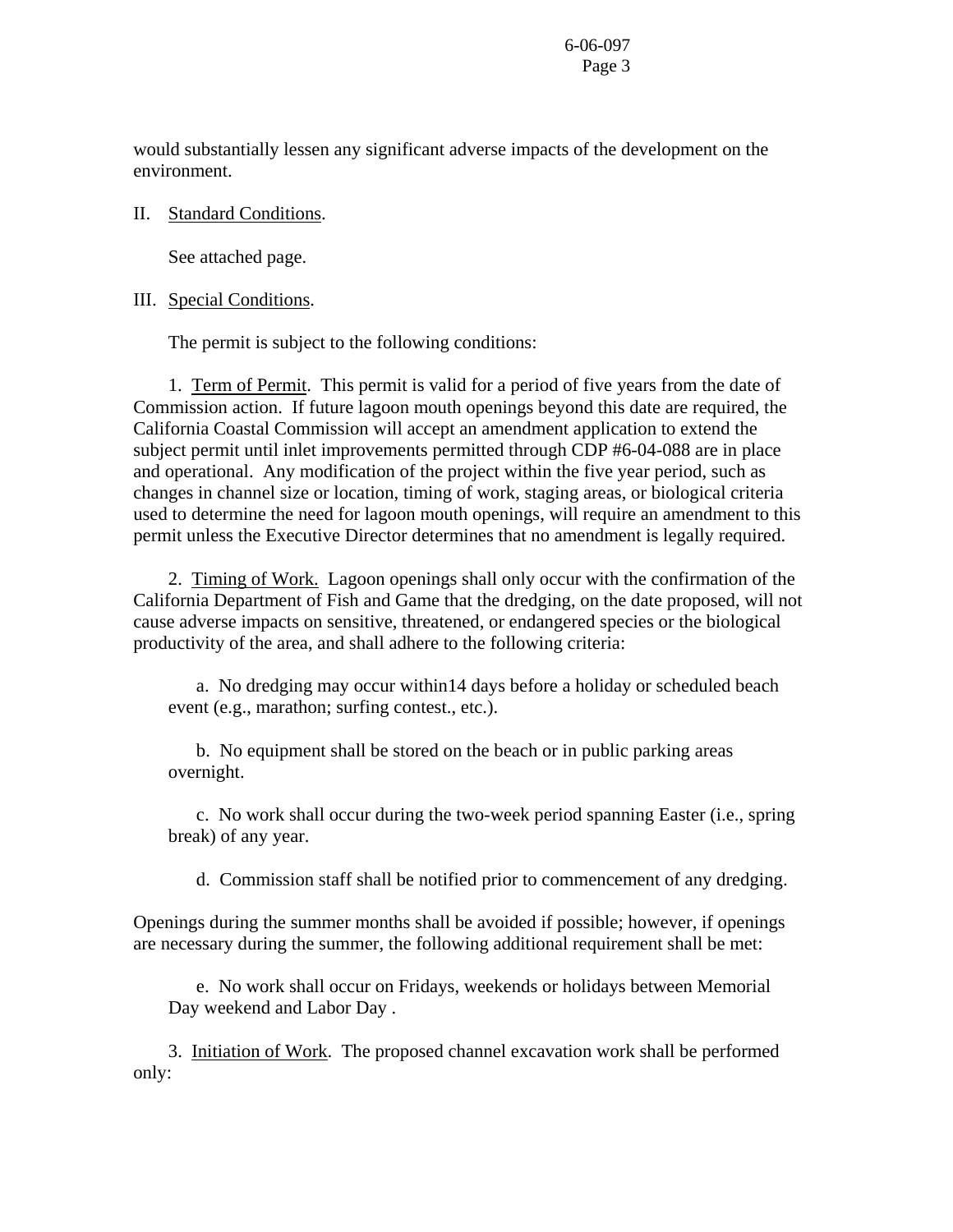would substantially lessen any significant adverse impacts of the development on the environment.

#### II. Standard Conditions.

See attached page.

#### III. Special Conditions.

The permit is subject to the following conditions:

 1. Term of Permit. This permit is valid for a period of five years from the date of Commission action. If future lagoon mouth openings beyond this date are required, the California Coastal Commission will accept an amendment application to extend the subject permit until inlet improvements permitted through CDP #6-04-088 are in place and operational. Any modification of the project within the five year period, such as changes in channel size or location, timing of work, staging areas, or biological criteria used to determine the need for lagoon mouth openings, will require an amendment to this permit unless the Executive Director determines that no amendment is legally required.

 2. Timing of Work. Lagoon openings shall only occur with the confirmation of the California Department of Fish and Game that the dredging, on the date proposed, will not cause adverse impacts on sensitive, threatened, or endangered species or the biological productivity of the area, and shall adhere to the following criteria:

 a. No dredging may occur within14 days before a holiday or scheduled beach event (e.g., marathon; surfing contest., etc.).

 b. No equipment shall be stored on the beach or in public parking areas overnight.

 c. No work shall occur during the two-week period spanning Easter (i.e., spring break) of any year.

d. Commission staff shall be notified prior to commencement of any dredging.

Openings during the summer months shall be avoided if possible; however, if openings are necessary during the summer, the following additional requirement shall be met:

 e. No work shall occur on Fridays, weekends or holidays between Memorial Day weekend and Labor Day .

 3. Initiation of Work. The proposed channel excavation work shall be performed only: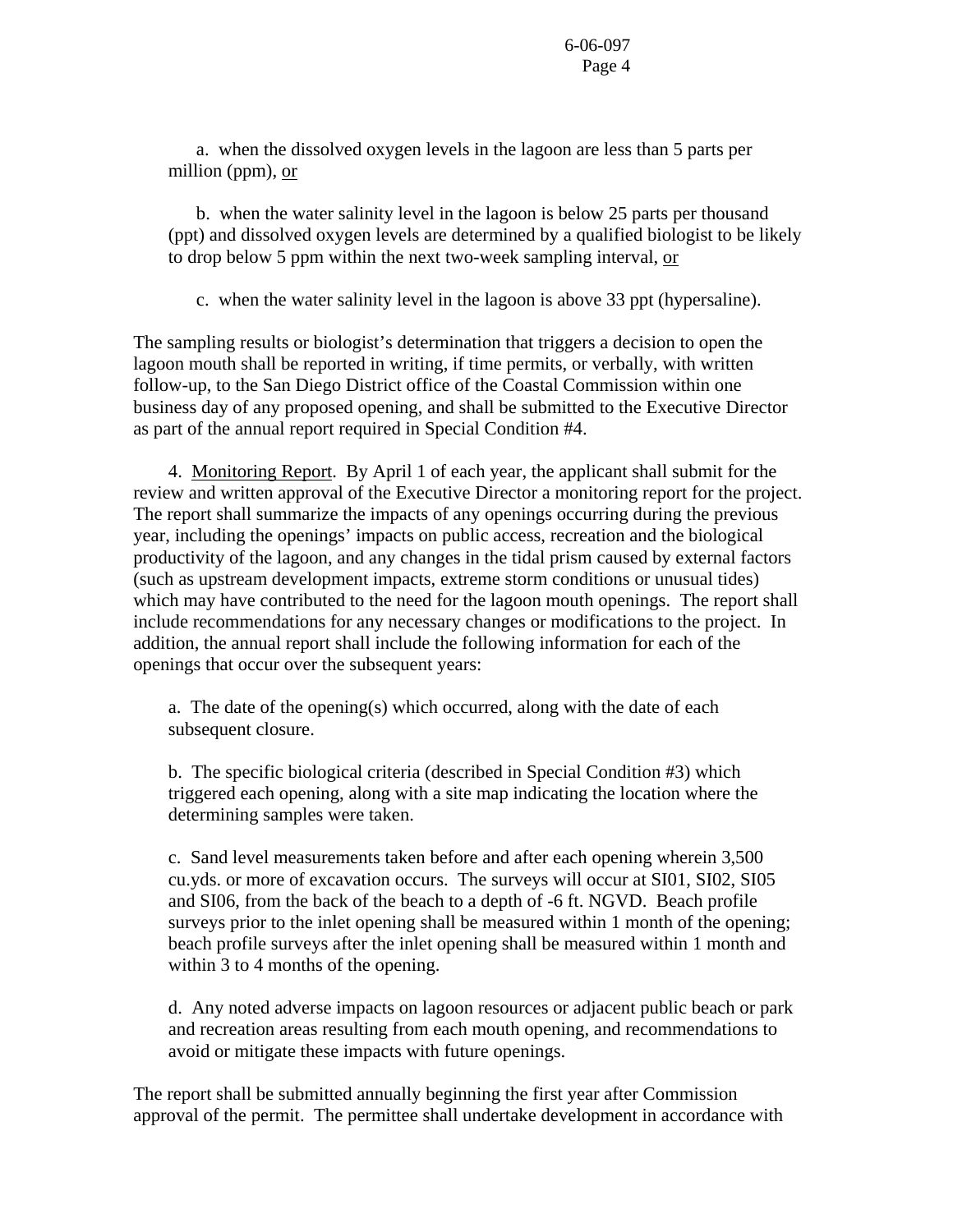a. when the dissolved oxygen levels in the lagoon are less than 5 parts per million (ppm), or

 b. when the water salinity level in the lagoon is below 25 parts per thousand (ppt) and dissolved oxygen levels are determined by a qualified biologist to be likely to drop below 5 ppm within the next two-week sampling interval, or

c. when the water salinity level in the lagoon is above 33 ppt (hypersaline).

The sampling results or biologist's determination that triggers a decision to open the lagoon mouth shall be reported in writing, if time permits, or verbally, with written follow-up, to the San Diego District office of the Coastal Commission within one business day of any proposed opening, and shall be submitted to the Executive Director as part of the annual report required in Special Condition #4.

 4. Monitoring Report. By April 1 of each year, the applicant shall submit for the review and written approval of the Executive Director a monitoring report for the project. The report shall summarize the impacts of any openings occurring during the previous year, including the openings' impacts on public access, recreation and the biological productivity of the lagoon, and any changes in the tidal prism caused by external factors (such as upstream development impacts, extreme storm conditions or unusual tides) which may have contributed to the need for the lagoon mouth openings. The report shall include recommendations for any necessary changes or modifications to the project. In addition, the annual report shall include the following information for each of the openings that occur over the subsequent years:

 a. The date of the opening(s) which occurred, along with the date of each subsequent closure.

 b. The specific biological criteria (described in Special Condition #3) which triggered each opening, along with a site map indicating the location where the determining samples were taken.

 c. Sand level measurements taken before and after each opening wherein 3,500 cu.yds. or more of excavation occurs. The surveys will occur at SI01, SI02, SI05 and SI06, from the back of the beach to a depth of -6 ft. NGVD. Beach profile surveys prior to the inlet opening shall be measured within 1 month of the opening; beach profile surveys after the inlet opening shall be measured within 1 month and within 3 to 4 months of the opening.

 d. Any noted adverse impacts on lagoon resources or adjacent public beach or park and recreation areas resulting from each mouth opening, and recommendations to avoid or mitigate these impacts with future openings.

The report shall be submitted annually beginning the first year after Commission approval of the permit. The permittee shall undertake development in accordance with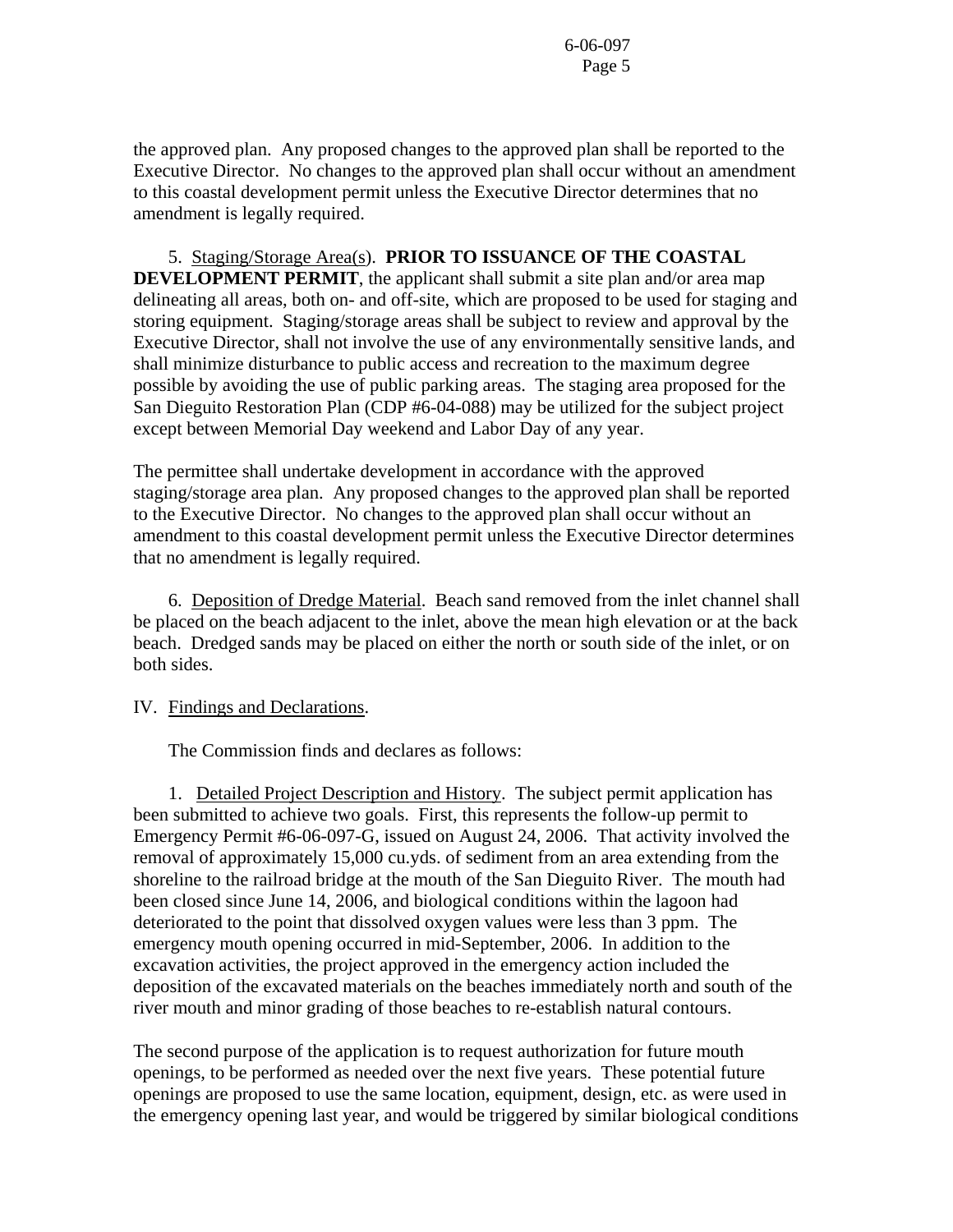the approved plan. Any proposed changes to the approved plan shall be reported to the Executive Director. No changes to the approved plan shall occur without an amendment to this coastal development permit unless the Executive Director determines that no amendment is legally required.

 5. Staging/Storage Area(s). **PRIOR TO ISSUANCE OF THE COASTAL DEVELOPMENT PERMIT**, the applicant shall submit a site plan and/or area map delineating all areas, both on- and off-site, which are proposed to be used for staging and storing equipment. Staging/storage areas shall be subject to review and approval by the Executive Director, shall not involve the use of any environmentally sensitive lands, and shall minimize disturbance to public access and recreation to the maximum degree possible by avoiding the use of public parking areas. The staging area proposed for the San Dieguito Restoration Plan (CDP #6-04-088) may be utilized for the subject project except between Memorial Day weekend and Labor Day of any year.

The permittee shall undertake development in accordance with the approved staging/storage area plan. Any proposed changes to the approved plan shall be reported to the Executive Director. No changes to the approved plan shall occur without an amendment to this coastal development permit unless the Executive Director determines that no amendment is legally required.

 6. Deposition of Dredge Material. Beach sand removed from the inlet channel shall be placed on the beach adjacent to the inlet, above the mean high elevation or at the back beach. Dredged sands may be placed on either the north or south side of the inlet, or on both sides.

#### IV. Findings and Declarations.

The Commission finds and declares as follows:

 1. Detailed Project Description and History. The subject permit application has been submitted to achieve two goals. First, this represents the follow-up permit to Emergency Permit #6-06-097-G, issued on August 24, 2006. That activity involved the removal of approximately 15,000 cu.yds. of sediment from an area extending from the shoreline to the railroad bridge at the mouth of the San Dieguito River. The mouth had been closed since June 14, 2006, and biological conditions within the lagoon had deteriorated to the point that dissolved oxygen values were less than 3 ppm. The emergency mouth opening occurred in mid-September, 2006. In addition to the excavation activities, the project approved in the emergency action included the deposition of the excavated materials on the beaches immediately north and south of the river mouth and minor grading of those beaches to re-establish natural contours.

The second purpose of the application is to request authorization for future mouth openings, to be performed as needed over the next five years. These potential future openings are proposed to use the same location, equipment, design, etc. as were used in the emergency opening last year, and would be triggered by similar biological conditions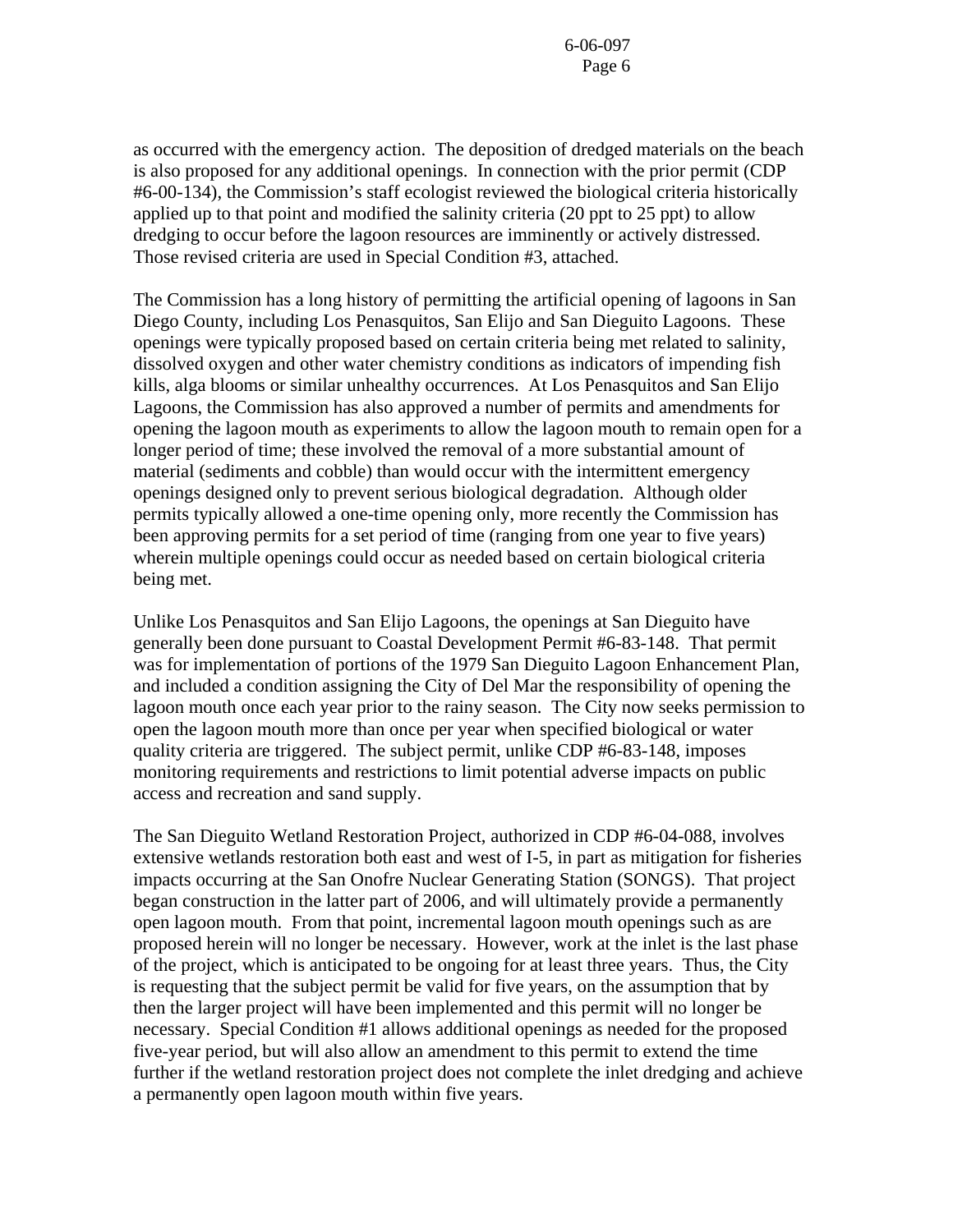as occurred with the emergency action. The deposition of dredged materials on the beach is also proposed for any additional openings. In connection with the prior permit (CDP #6-00-134), the Commission's staff ecologist reviewed the biological criteria historically applied up to that point and modified the salinity criteria (20 ppt to 25 ppt) to allow dredging to occur before the lagoon resources are imminently or actively distressed. Those revised criteria are used in Special Condition #3, attached.

The Commission has a long history of permitting the artificial opening of lagoons in San Diego County, including Los Penasquitos, San Elijo and San Dieguito Lagoons. These openings were typically proposed based on certain criteria being met related to salinity, dissolved oxygen and other water chemistry conditions as indicators of impending fish kills, alga blooms or similar unhealthy occurrences. At Los Penasquitos and San Elijo Lagoons, the Commission has also approved a number of permits and amendments for opening the lagoon mouth as experiments to allow the lagoon mouth to remain open for a longer period of time; these involved the removal of a more substantial amount of material (sediments and cobble) than would occur with the intermittent emergency openings designed only to prevent serious biological degradation. Although older permits typically allowed a one-time opening only, more recently the Commission has been approving permits for a set period of time (ranging from one year to five years) wherein multiple openings could occur as needed based on certain biological criteria being met.

Unlike Los Penasquitos and San Elijo Lagoons, the openings at San Dieguito have generally been done pursuant to Coastal Development Permit #6-83-148. That permit was for implementation of portions of the 1979 San Dieguito Lagoon Enhancement Plan, and included a condition assigning the City of Del Mar the responsibility of opening the lagoon mouth once each year prior to the rainy season. The City now seeks permission to open the lagoon mouth more than once per year when specified biological or water quality criteria are triggered. The subject permit, unlike CDP #6-83-148, imposes monitoring requirements and restrictions to limit potential adverse impacts on public access and recreation and sand supply.

The San Dieguito Wetland Restoration Project, authorized in CDP #6-04-088, involves extensive wetlands restoration both east and west of I-5, in part as mitigation for fisheries impacts occurring at the San Onofre Nuclear Generating Station (SONGS). That project began construction in the latter part of 2006, and will ultimately provide a permanently open lagoon mouth. From that point, incremental lagoon mouth openings such as are proposed herein will no longer be necessary. However, work at the inlet is the last phase of the project, which is anticipated to be ongoing for at least three years. Thus, the City is requesting that the subject permit be valid for five years, on the assumption that by then the larger project will have been implemented and this permit will no longer be necessary. Special Condition #1 allows additional openings as needed for the proposed five-year period, but will also allow an amendment to this permit to extend the time further if the wetland restoration project does not complete the inlet dredging and achieve a permanently open lagoon mouth within five years.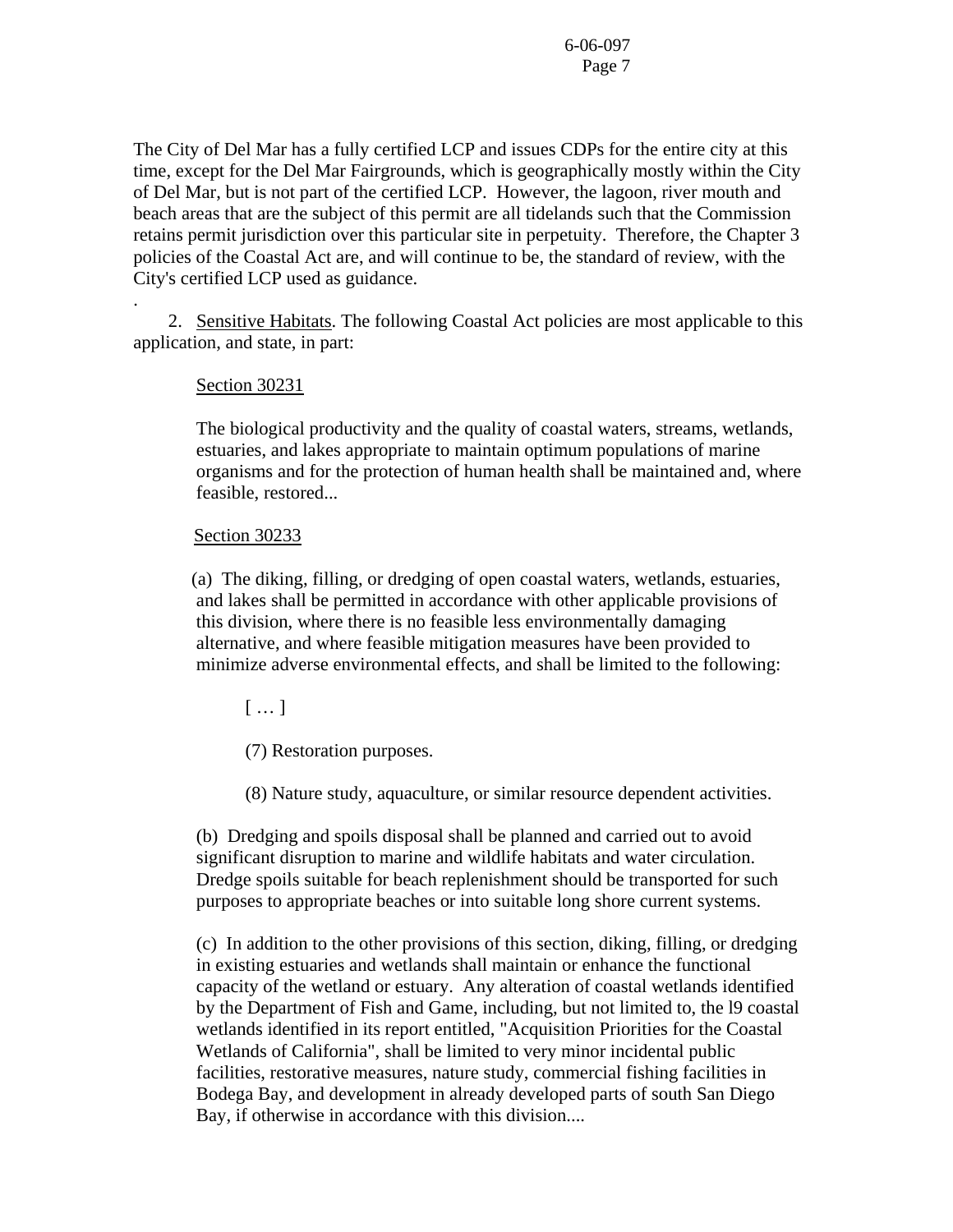The City of Del Mar has a fully certified LCP and issues CDPs for the entire city at this time, except for the Del Mar Fairgrounds, which is geographically mostly within the City of Del Mar, but is not part of the certified LCP. However, the lagoon, river mouth and beach areas that are the subject of this permit are all tidelands such that the Commission retains permit jurisdiction over this particular site in perpetuity. Therefore, the Chapter 3 policies of the Coastal Act are, and will continue to be, the standard of review, with the City's certified LCP used as guidance.

2. Sensitive Habitats. The following Coastal Act policies are most applicable to this application, and state, in part:

#### Section 30231

.

The biological productivity and the quality of coastal waters, streams, wetlands, estuaries, and lakes appropriate to maintain optimum populations of marine organisms and for the protection of human health shall be maintained and, where feasible, restored...

#### Section 30233

 (a) The diking, filling, or dredging of open coastal waters, wetlands, estuaries, and lakes shall be permitted in accordance with other applicable provisions of this division, where there is no feasible less environmentally damaging alternative, and where feasible mitigation measures have been provided to minimize adverse environmental effects, and shall be limited to the following:

[ … ]

(7) Restoration purposes.

(8) Nature study, aquaculture, or similar resource dependent activities.

 (b) Dredging and spoils disposal shall be planned and carried out to avoid significant disruption to marine and wildlife habitats and water circulation. Dredge spoils suitable for beach replenishment should be transported for such purposes to appropriate beaches or into suitable long shore current systems.

 (c) In addition to the other provisions of this section, diking, filling, or dredging in existing estuaries and wetlands shall maintain or enhance the functional capacity of the wetland or estuary. Any alteration of coastal wetlands identified by the Department of Fish and Game, including, but not limited to, the l9 coastal wetlands identified in its report entitled, "Acquisition Priorities for the Coastal Wetlands of California", shall be limited to very minor incidental public facilities, restorative measures, nature study, commercial fishing facilities in Bodega Bay, and development in already developed parts of south San Diego Bay, if otherwise in accordance with this division....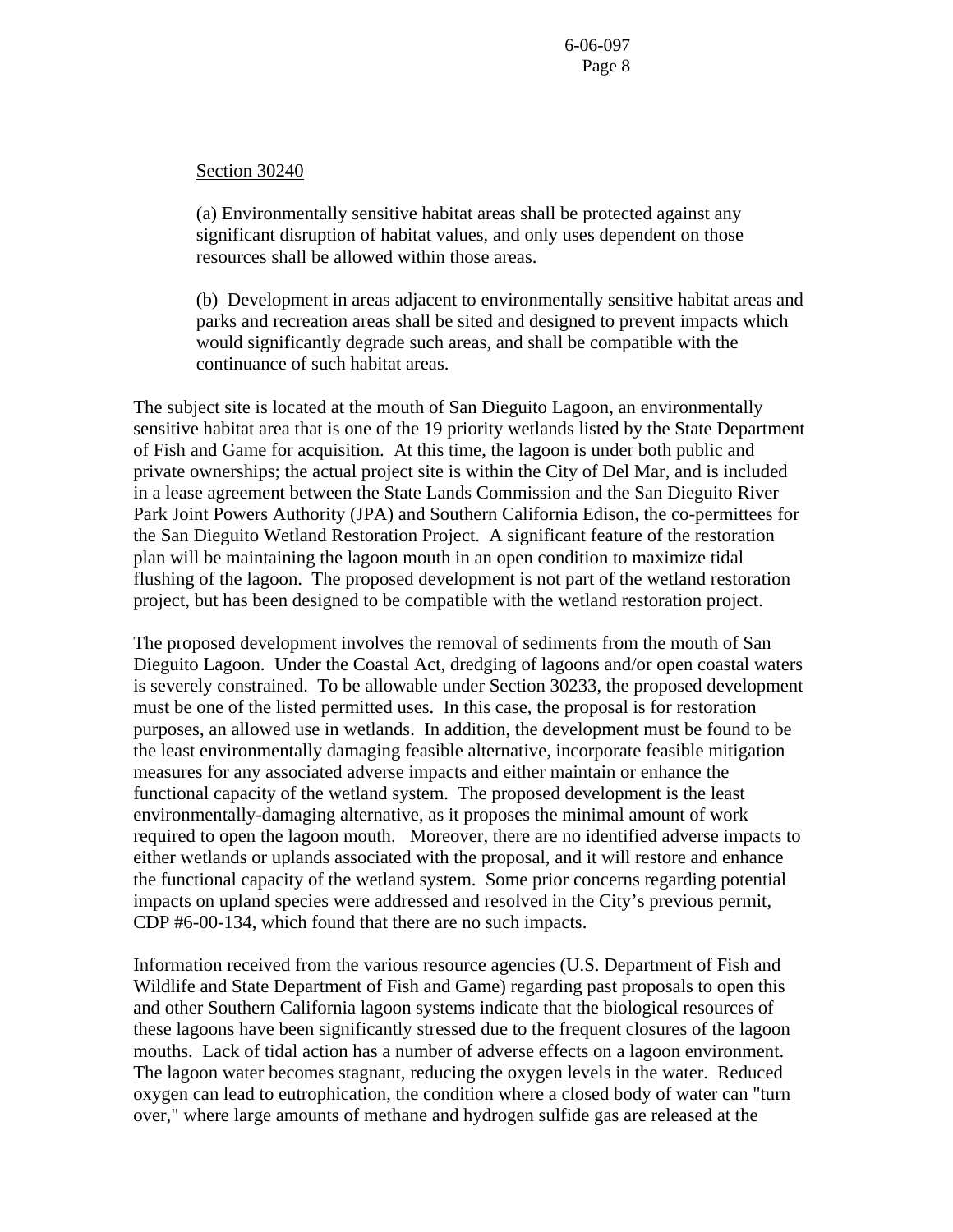#### Section 30240

(a) Environmentally sensitive habitat areas shall be protected against any significant disruption of habitat values, and only uses dependent on those resources shall be allowed within those areas.

 (b) Development in areas adjacent to environmentally sensitive habitat areas and parks and recreation areas shall be sited and designed to prevent impacts which would significantly degrade such areas, and shall be compatible with the continuance of such habitat areas.

The subject site is located at the mouth of San Dieguito Lagoon, an environmentally sensitive habitat area that is one of the 19 priority wetlands listed by the State Department of Fish and Game for acquisition. At this time, the lagoon is under both public and private ownerships; the actual project site is within the City of Del Mar, and is included in a lease agreement between the State Lands Commission and the San Dieguito River Park Joint Powers Authority (JPA) and Southern California Edison, the co-permittees for the San Dieguito Wetland Restoration Project. A significant feature of the restoration plan will be maintaining the lagoon mouth in an open condition to maximize tidal flushing of the lagoon. The proposed development is not part of the wetland restoration project, but has been designed to be compatible with the wetland restoration project.

The proposed development involves the removal of sediments from the mouth of San Dieguito Lagoon. Under the Coastal Act, dredging of lagoons and/or open coastal waters is severely constrained. To be allowable under Section 30233, the proposed development must be one of the listed permitted uses. In this case, the proposal is for restoration purposes, an allowed use in wetlands. In addition, the development must be found to be the least environmentally damaging feasible alternative, incorporate feasible mitigation measures for any associated adverse impacts and either maintain or enhance the functional capacity of the wetland system. The proposed development is the least environmentally-damaging alternative, as it proposes the minimal amount of work required to open the lagoon mouth. Moreover, there are no identified adverse impacts to either wetlands or uplands associated with the proposal, and it will restore and enhance the functional capacity of the wetland system. Some prior concerns regarding potential impacts on upland species were addressed and resolved in the City's previous permit, CDP #6-00-134, which found that there are no such impacts.

Information received from the various resource agencies (U.S. Department of Fish and Wildlife and State Department of Fish and Game) regarding past proposals to open this and other Southern California lagoon systems indicate that the biological resources of these lagoons have been significantly stressed due to the frequent closures of the lagoon mouths. Lack of tidal action has a number of adverse effects on a lagoon environment. The lagoon water becomes stagnant, reducing the oxygen levels in the water. Reduced oxygen can lead to eutrophication, the condition where a closed body of water can "turn over," where large amounts of methane and hydrogen sulfide gas are released at the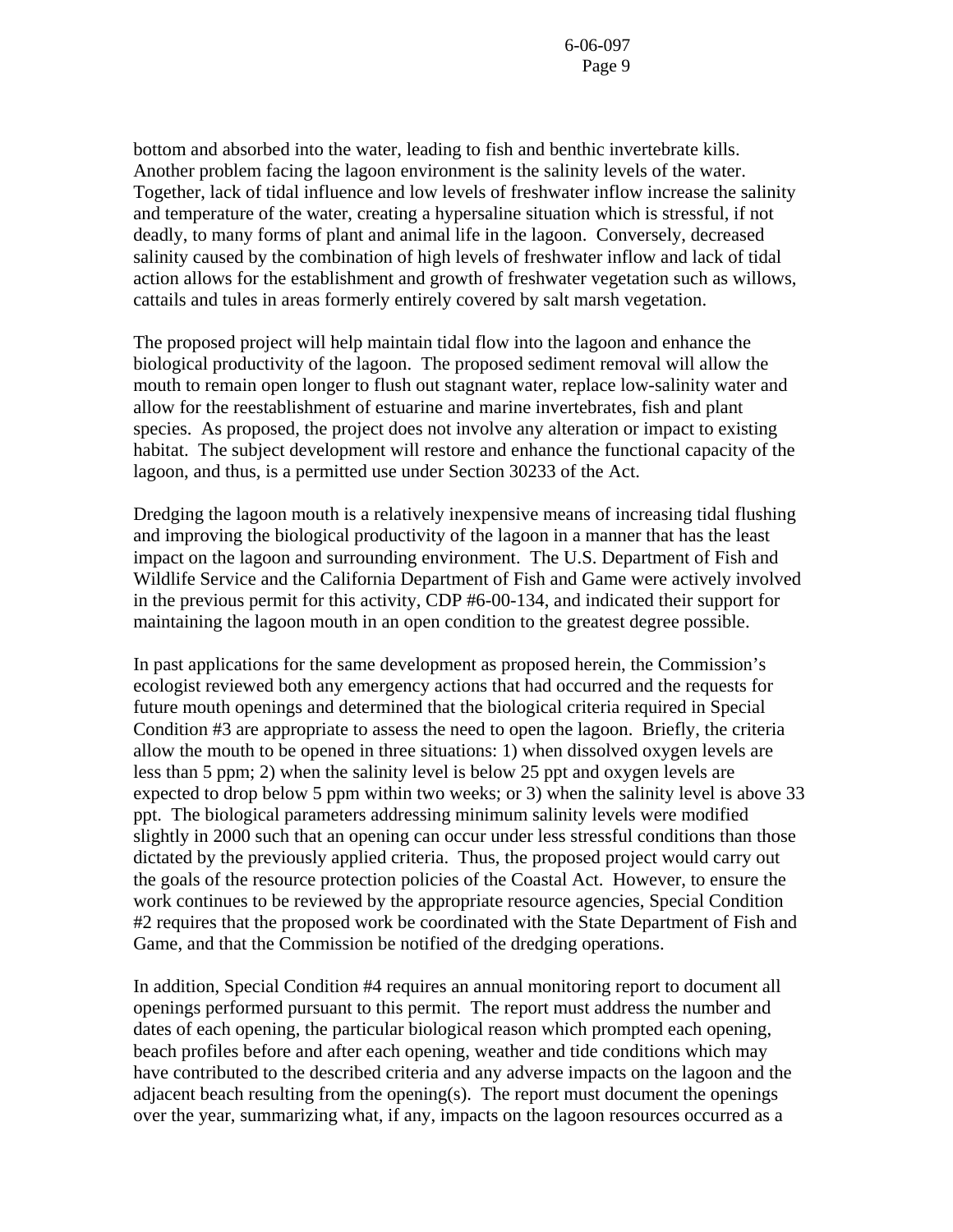bottom and absorbed into the water, leading to fish and benthic invertebrate kills. Another problem facing the lagoon environment is the salinity levels of the water. Together, lack of tidal influence and low levels of freshwater inflow increase the salinity and temperature of the water, creating a hypersaline situation which is stressful, if not deadly, to many forms of plant and animal life in the lagoon. Conversely, decreased salinity caused by the combination of high levels of freshwater inflow and lack of tidal action allows for the establishment and growth of freshwater vegetation such as willows, cattails and tules in areas formerly entirely covered by salt marsh vegetation.

The proposed project will help maintain tidal flow into the lagoon and enhance the biological productivity of the lagoon. The proposed sediment removal will allow the mouth to remain open longer to flush out stagnant water, replace low-salinity water and allow for the reestablishment of estuarine and marine invertebrates, fish and plant species. As proposed, the project does not involve any alteration or impact to existing habitat. The subject development will restore and enhance the functional capacity of the lagoon, and thus, is a permitted use under Section 30233 of the Act.

Dredging the lagoon mouth is a relatively inexpensive means of increasing tidal flushing and improving the biological productivity of the lagoon in a manner that has the least impact on the lagoon and surrounding environment. The U.S. Department of Fish and Wildlife Service and the California Department of Fish and Game were actively involved in the previous permit for this activity, CDP #6-00-134, and indicated their support for maintaining the lagoon mouth in an open condition to the greatest degree possible.

In past applications for the same development as proposed herein, the Commission's ecologist reviewed both any emergency actions that had occurred and the requests for future mouth openings and determined that the biological criteria required in Special Condition #3 are appropriate to assess the need to open the lagoon. Briefly, the criteria allow the mouth to be opened in three situations: 1) when dissolved oxygen levels are less than 5 ppm; 2) when the salinity level is below 25 ppt and oxygen levels are expected to drop below 5 ppm within two weeks; or 3) when the salinity level is above 33 ppt. The biological parameters addressing minimum salinity levels were modified slightly in 2000 such that an opening can occur under less stressful conditions than those dictated by the previously applied criteria. Thus, the proposed project would carry out the goals of the resource protection policies of the Coastal Act. However, to ensure the work continues to be reviewed by the appropriate resource agencies, Special Condition #2 requires that the proposed work be coordinated with the State Department of Fish and Game, and that the Commission be notified of the dredging operations.

In addition, Special Condition #4 requires an annual monitoring report to document all openings performed pursuant to this permit. The report must address the number and dates of each opening, the particular biological reason which prompted each opening, beach profiles before and after each opening, weather and tide conditions which may have contributed to the described criteria and any adverse impacts on the lagoon and the adjacent beach resulting from the opening(s). The report must document the openings over the year, summarizing what, if any, impacts on the lagoon resources occurred as a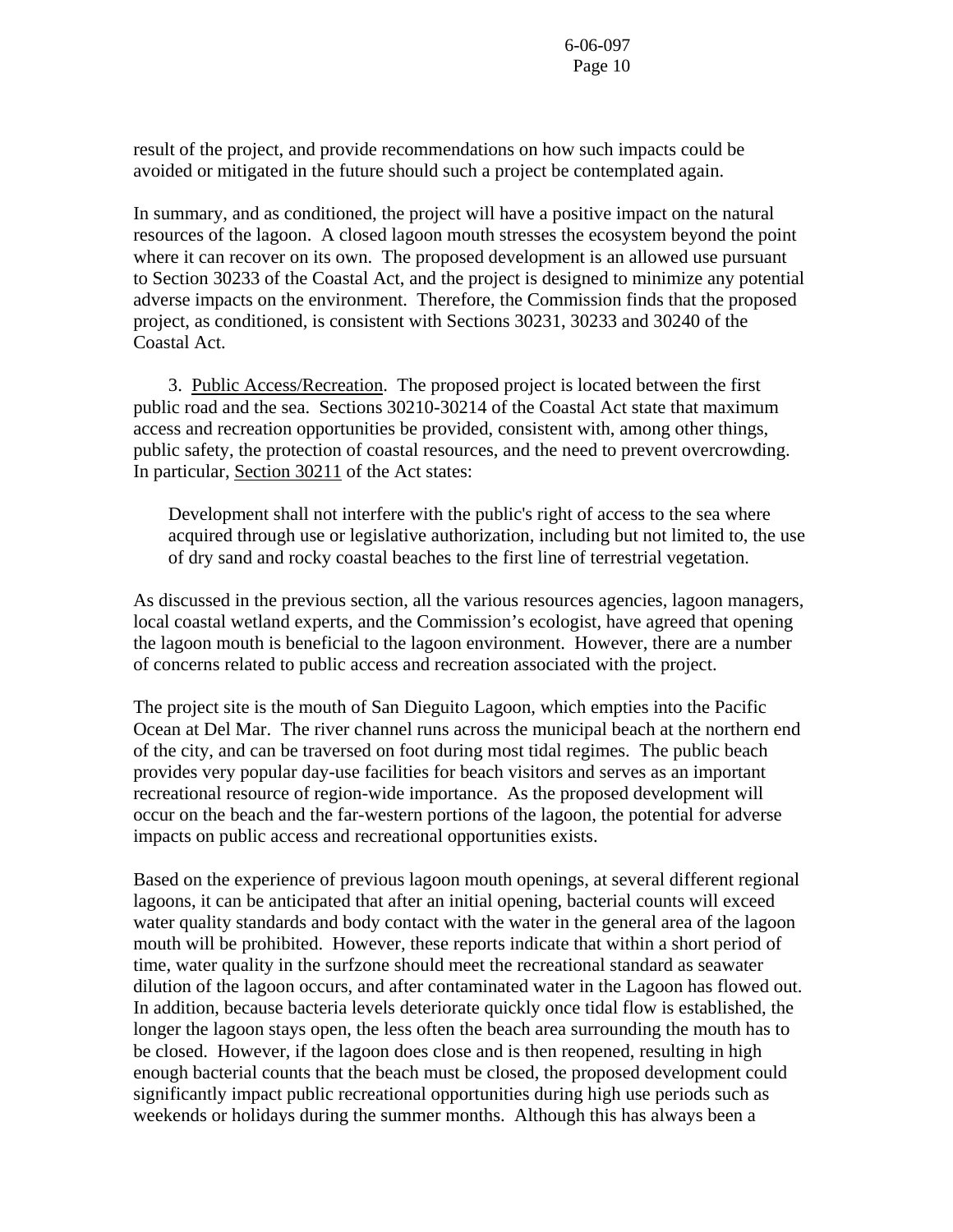result of the project, and provide recommendations on how such impacts could be avoided or mitigated in the future should such a project be contemplated again.

In summary, and as conditioned, the project will have a positive impact on the natural resources of the lagoon. A closed lagoon mouth stresses the ecosystem beyond the point where it can recover on its own. The proposed development is an allowed use pursuant to Section 30233 of the Coastal Act, and the project is designed to minimize any potential adverse impacts on the environment. Therefore, the Commission finds that the proposed project, as conditioned, is consistent with Sections 30231, 30233 and 30240 of the Coastal Act.

 3. Public Access/Recreation. The proposed project is located between the first public road and the sea. Sections 30210-30214 of the Coastal Act state that maximum access and recreation opportunities be provided, consistent with, among other things, public safety, the protection of coastal resources, and the need to prevent overcrowding. In particular, Section 30211 of the Act states:

 Development shall not interfere with the public's right of access to the sea where acquired through use or legislative authorization, including but not limited to, the use of dry sand and rocky coastal beaches to the first line of terrestrial vegetation.

As discussed in the previous section, all the various resources agencies, lagoon managers, local coastal wetland experts, and the Commission's ecologist, have agreed that opening the lagoon mouth is beneficial to the lagoon environment. However, there are a number of concerns related to public access and recreation associated with the project.

The project site is the mouth of San Dieguito Lagoon, which empties into the Pacific Ocean at Del Mar. The river channel runs across the municipal beach at the northern end of the city, and can be traversed on foot during most tidal regimes. The public beach provides very popular day-use facilities for beach visitors and serves as an important recreational resource of region-wide importance. As the proposed development will occur on the beach and the far-western portions of the lagoon, the potential for adverse impacts on public access and recreational opportunities exists.

Based on the experience of previous lagoon mouth openings, at several different regional lagoons, it can be anticipated that after an initial opening, bacterial counts will exceed water quality standards and body contact with the water in the general area of the lagoon mouth will be prohibited. However, these reports indicate that within a short period of time, water quality in the surfzone should meet the recreational standard as seawater dilution of the lagoon occurs, and after contaminated water in the Lagoon has flowed out. In addition, because bacteria levels deteriorate quickly once tidal flow is established, the longer the lagoon stays open, the less often the beach area surrounding the mouth has to be closed. However, if the lagoon does close and is then reopened, resulting in high enough bacterial counts that the beach must be closed, the proposed development could significantly impact public recreational opportunities during high use periods such as weekends or holidays during the summer months. Although this has always been a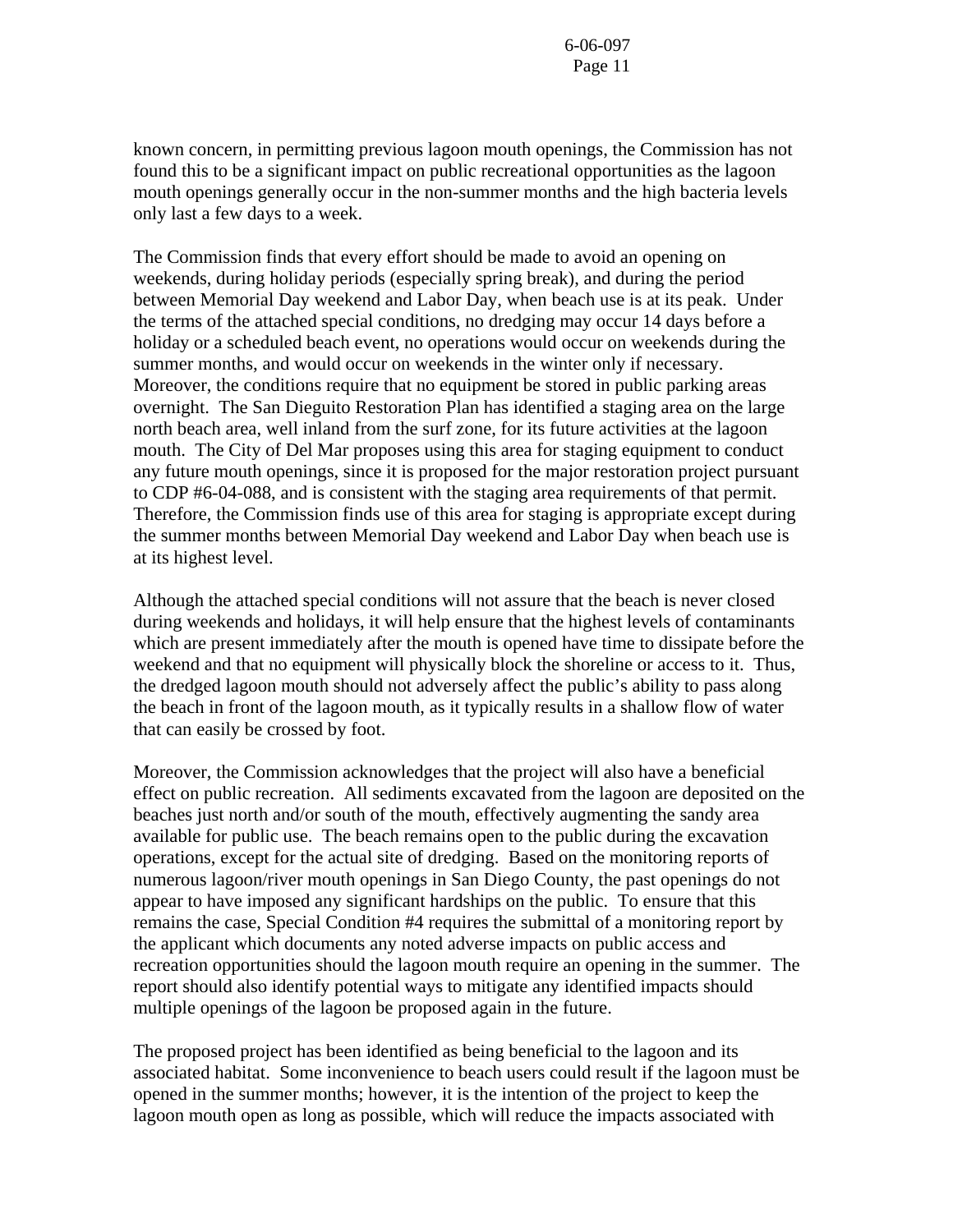known concern, in permitting previous lagoon mouth openings, the Commission has not found this to be a significant impact on public recreational opportunities as the lagoon mouth openings generally occur in the non-summer months and the high bacteria levels only last a few days to a week.

The Commission finds that every effort should be made to avoid an opening on weekends, during holiday periods (especially spring break), and during the period between Memorial Day weekend and Labor Day, when beach use is at its peak. Under the terms of the attached special conditions, no dredging may occur 14 days before a holiday or a scheduled beach event, no operations would occur on weekends during the summer months, and would occur on weekends in the winter only if necessary. Moreover, the conditions require that no equipment be stored in public parking areas overnight. The San Dieguito Restoration Plan has identified a staging area on the large north beach area, well inland from the surf zone, for its future activities at the lagoon mouth. The City of Del Mar proposes using this area for staging equipment to conduct any future mouth openings, since it is proposed for the major restoration project pursuant to CDP #6-04-088, and is consistent with the staging area requirements of that permit. Therefore, the Commission finds use of this area for staging is appropriate except during the summer months between Memorial Day weekend and Labor Day when beach use is at its highest level.

Although the attached special conditions will not assure that the beach is never closed during weekends and holidays, it will help ensure that the highest levels of contaminants which are present immediately after the mouth is opened have time to dissipate before the weekend and that no equipment will physically block the shoreline or access to it. Thus, the dredged lagoon mouth should not adversely affect the public's ability to pass along the beach in front of the lagoon mouth, as it typically results in a shallow flow of water that can easily be crossed by foot.

Moreover, the Commission acknowledges that the project will also have a beneficial effect on public recreation. All sediments excavated from the lagoon are deposited on the beaches just north and/or south of the mouth, effectively augmenting the sandy area available for public use. The beach remains open to the public during the excavation operations, except for the actual site of dredging. Based on the monitoring reports of numerous lagoon/river mouth openings in San Diego County, the past openings do not appear to have imposed any significant hardships on the public. To ensure that this remains the case, Special Condition #4 requires the submittal of a monitoring report by the applicant which documents any noted adverse impacts on public access and recreation opportunities should the lagoon mouth require an opening in the summer. The report should also identify potential ways to mitigate any identified impacts should multiple openings of the lagoon be proposed again in the future.

The proposed project has been identified as being beneficial to the lagoon and its associated habitat. Some inconvenience to beach users could result if the lagoon must be opened in the summer months; however, it is the intention of the project to keep the lagoon mouth open as long as possible, which will reduce the impacts associated with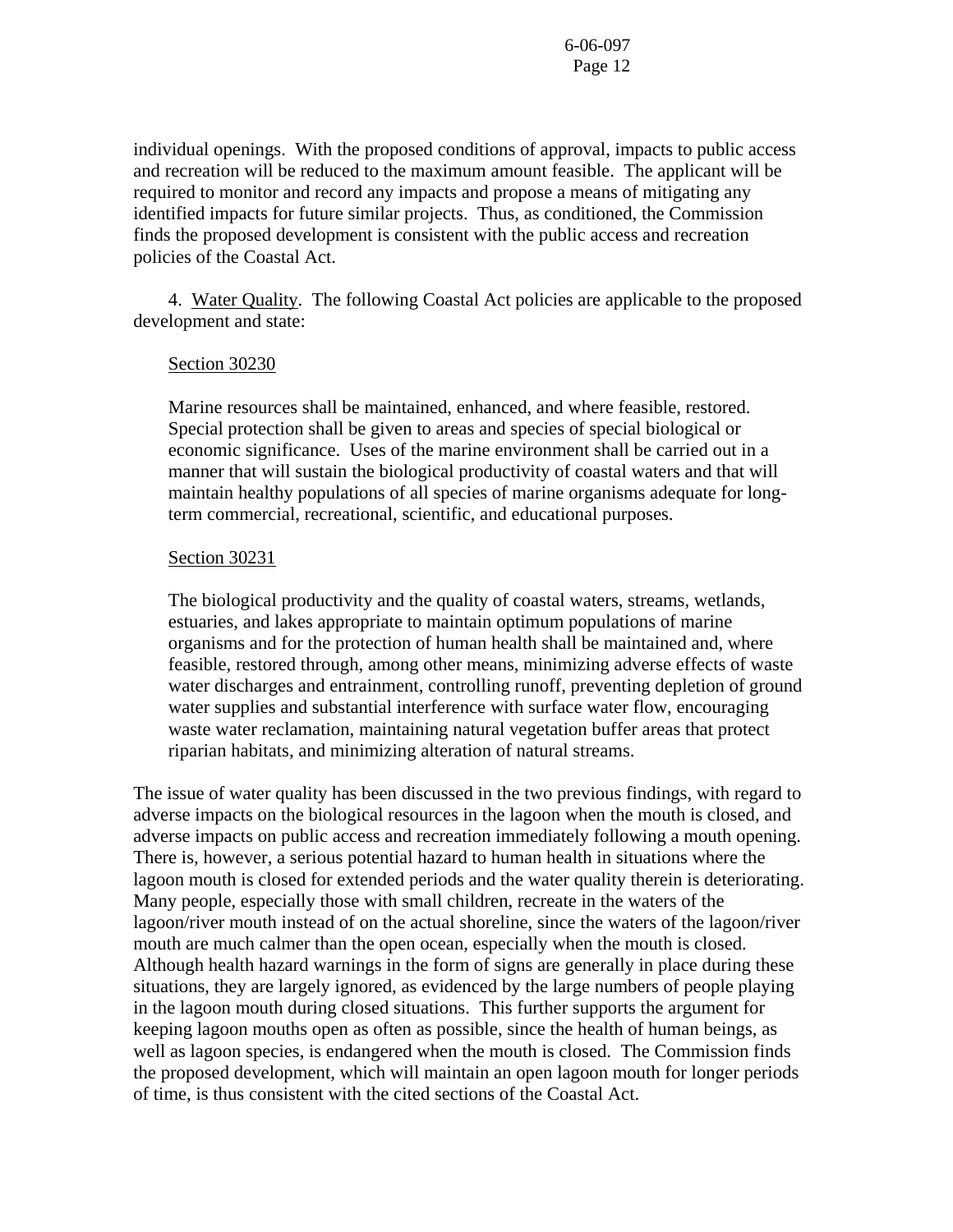individual openings. With the proposed conditions of approval, impacts to public access and recreation will be reduced to the maximum amount feasible. The applicant will be required to monitor and record any impacts and propose a means of mitigating any identified impacts for future similar projects. Thus, as conditioned, the Commission finds the proposed development is consistent with the public access and recreation policies of the Coastal Act.

 4. Water Quality. The following Coastal Act policies are applicable to the proposed development and state:

#### Section 30230

Marine resources shall be maintained, enhanced, and where feasible, restored. Special protection shall be given to areas and species of special biological or economic significance. Uses of the marine environment shall be carried out in a manner that will sustain the biological productivity of coastal waters and that will maintain healthy populations of all species of marine organisms adequate for longterm commercial, recreational, scientific, and educational purposes.

#### Section 30231

The biological productivity and the quality of coastal waters, streams, wetlands, estuaries, and lakes appropriate to maintain optimum populations of marine organisms and for the protection of human health shall be maintained and, where feasible, restored through, among other means, minimizing adverse effects of waste water discharges and entrainment, controlling runoff, preventing depletion of ground water supplies and substantial interference with surface water flow, encouraging waste water reclamation, maintaining natural vegetation buffer areas that protect riparian habitats, and minimizing alteration of natural streams.

The issue of water quality has been discussed in the two previous findings, with regard to adverse impacts on the biological resources in the lagoon when the mouth is closed, and adverse impacts on public access and recreation immediately following a mouth opening. There is, however, a serious potential hazard to human health in situations where the lagoon mouth is closed for extended periods and the water quality therein is deteriorating. Many people, especially those with small children, recreate in the waters of the lagoon/river mouth instead of on the actual shoreline, since the waters of the lagoon/river mouth are much calmer than the open ocean, especially when the mouth is closed. Although health hazard warnings in the form of signs are generally in place during these situations, they are largely ignored, as evidenced by the large numbers of people playing in the lagoon mouth during closed situations. This further supports the argument for keeping lagoon mouths open as often as possible, since the health of human beings, as well as lagoon species, is endangered when the mouth is closed. The Commission finds the proposed development, which will maintain an open lagoon mouth for longer periods of time, is thus consistent with the cited sections of the Coastal Act.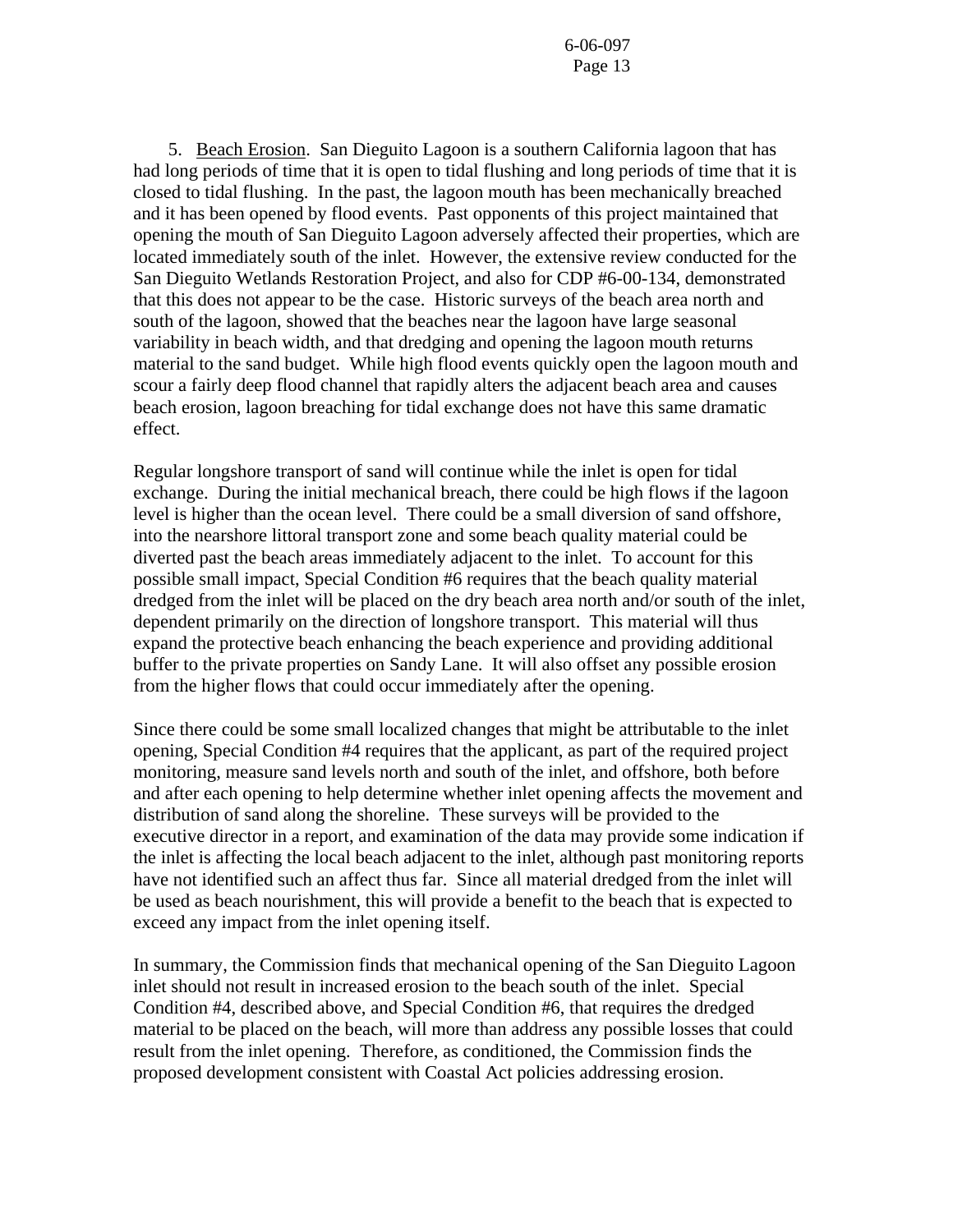5. Beach Erosion. San Dieguito Lagoon is a southern California lagoon that has had long periods of time that it is open to tidal flushing and long periods of time that it is closed to tidal flushing. In the past, the lagoon mouth has been mechanically breached and it has been opened by flood events. Past opponents of this project maintained that opening the mouth of San Dieguito Lagoon adversely affected their properties, which are located immediately south of the inlet. However, the extensive review conducted for the San Dieguito Wetlands Restoration Project, and also for CDP #6-00-134, demonstrated that this does not appear to be the case. Historic surveys of the beach area north and south of the lagoon, showed that the beaches near the lagoon have large seasonal variability in beach width, and that dredging and opening the lagoon mouth returns material to the sand budget. While high flood events quickly open the lagoon mouth and scour a fairly deep flood channel that rapidly alters the adjacent beach area and causes beach erosion, lagoon breaching for tidal exchange does not have this same dramatic effect.

Regular longshore transport of sand will continue while the inlet is open for tidal exchange. During the initial mechanical breach, there could be high flows if the lagoon level is higher than the ocean level. There could be a small diversion of sand offshore, into the nearshore littoral transport zone and some beach quality material could be diverted past the beach areas immediately adjacent to the inlet. To account for this possible small impact, Special Condition #6 requires that the beach quality material dredged from the inlet will be placed on the dry beach area north and/or south of the inlet, dependent primarily on the direction of longshore transport. This material will thus expand the protective beach enhancing the beach experience and providing additional buffer to the private properties on Sandy Lane. It will also offset any possible erosion from the higher flows that could occur immediately after the opening.

Since there could be some small localized changes that might be attributable to the inlet opening, Special Condition #4 requires that the applicant, as part of the required project monitoring, measure sand levels north and south of the inlet, and offshore, both before and after each opening to help determine whether inlet opening affects the movement and distribution of sand along the shoreline. These surveys will be provided to the executive director in a report, and examination of the data may provide some indication if the inlet is affecting the local beach adjacent to the inlet, although past monitoring reports have not identified such an affect thus far. Since all material dredged from the inlet will be used as beach nourishment, this will provide a benefit to the beach that is expected to exceed any impact from the inlet opening itself.

In summary, the Commission finds that mechanical opening of the San Dieguito Lagoon inlet should not result in increased erosion to the beach south of the inlet. Special Condition #4, described above, and Special Condition #6, that requires the dredged material to be placed on the beach, will more than address any possible losses that could result from the inlet opening. Therefore, as conditioned, the Commission finds the proposed development consistent with Coastal Act policies addressing erosion.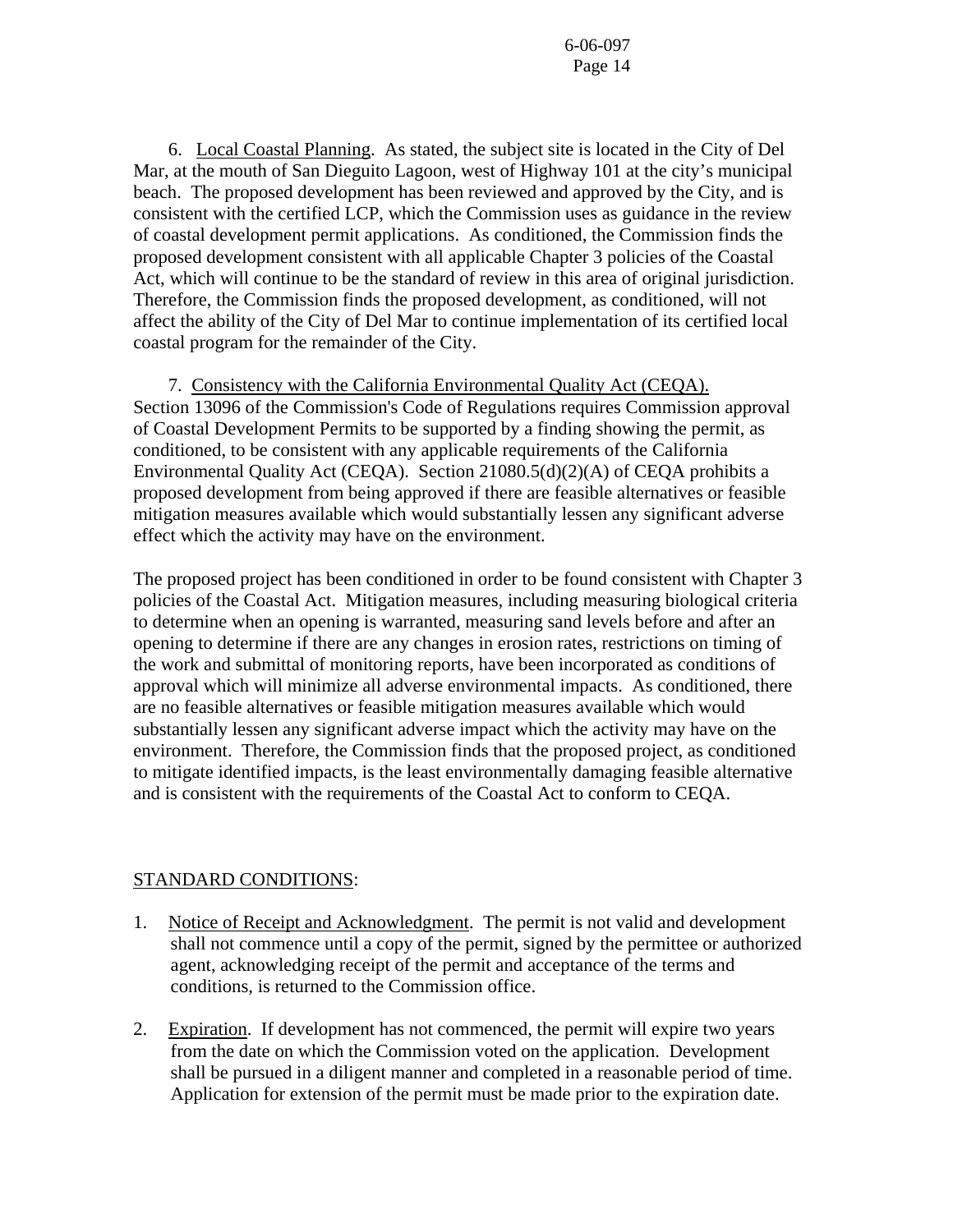6. Local Coastal Planning. As stated, the subject site is located in the City of Del Mar, at the mouth of San Dieguito Lagoon, west of Highway 101 at the city's municipal beach. The proposed development has been reviewed and approved by the City, and is consistent with the certified LCP, which the Commission uses as guidance in the review of coastal development permit applications. As conditioned, the Commission finds the proposed development consistent with all applicable Chapter 3 policies of the Coastal Act, which will continue to be the standard of review in this area of original jurisdiction. Therefore, the Commission finds the proposed development, as conditioned, will not affect the ability of the City of Del Mar to continue implementation of its certified local coastal program for the remainder of the City.

 7. Consistency with the California Environmental Quality Act (CEQA). Section 13096 of the Commission's Code of Regulations requires Commission approval of Coastal Development Permits to be supported by a finding showing the permit, as conditioned, to be consistent with any applicable requirements of the California Environmental Quality Act (CEQA). Section 21080.5(d)(2)(A) of CEQA prohibits a proposed development from being approved if there are feasible alternatives or feasible mitigation measures available which would substantially lessen any significant adverse effect which the activity may have on the environment.

The proposed project has been conditioned in order to be found consistent with Chapter 3 policies of the Coastal Act. Mitigation measures, including measuring biological criteria to determine when an opening is warranted, measuring sand levels before and after an opening to determine if there are any changes in erosion rates, restrictions on timing of the work and submittal of monitoring reports, have been incorporated as conditions of approval which will minimize all adverse environmental impacts. As conditioned, there are no feasible alternatives or feasible mitigation measures available which would substantially lessen any significant adverse impact which the activity may have on the environment. Therefore, the Commission finds that the proposed project, as conditioned to mitigate identified impacts, is the least environmentally damaging feasible alternative and is consistent with the requirements of the Coastal Act to conform to CEQA.

#### STANDARD CONDITIONS:

- 1. Notice of Receipt and Acknowledgment. The permit is not valid and development shall not commence until a copy of the permit, signed by the permittee or authorized agent, acknowledging receipt of the permit and acceptance of the terms and conditions, is returned to the Commission office.
- 2. Expiration. If development has not commenced, the permit will expire two years from the date on which the Commission voted on the application. Development shall be pursued in a diligent manner and completed in a reasonable period of time. Application for extension of the permit must be made prior to the expiration date.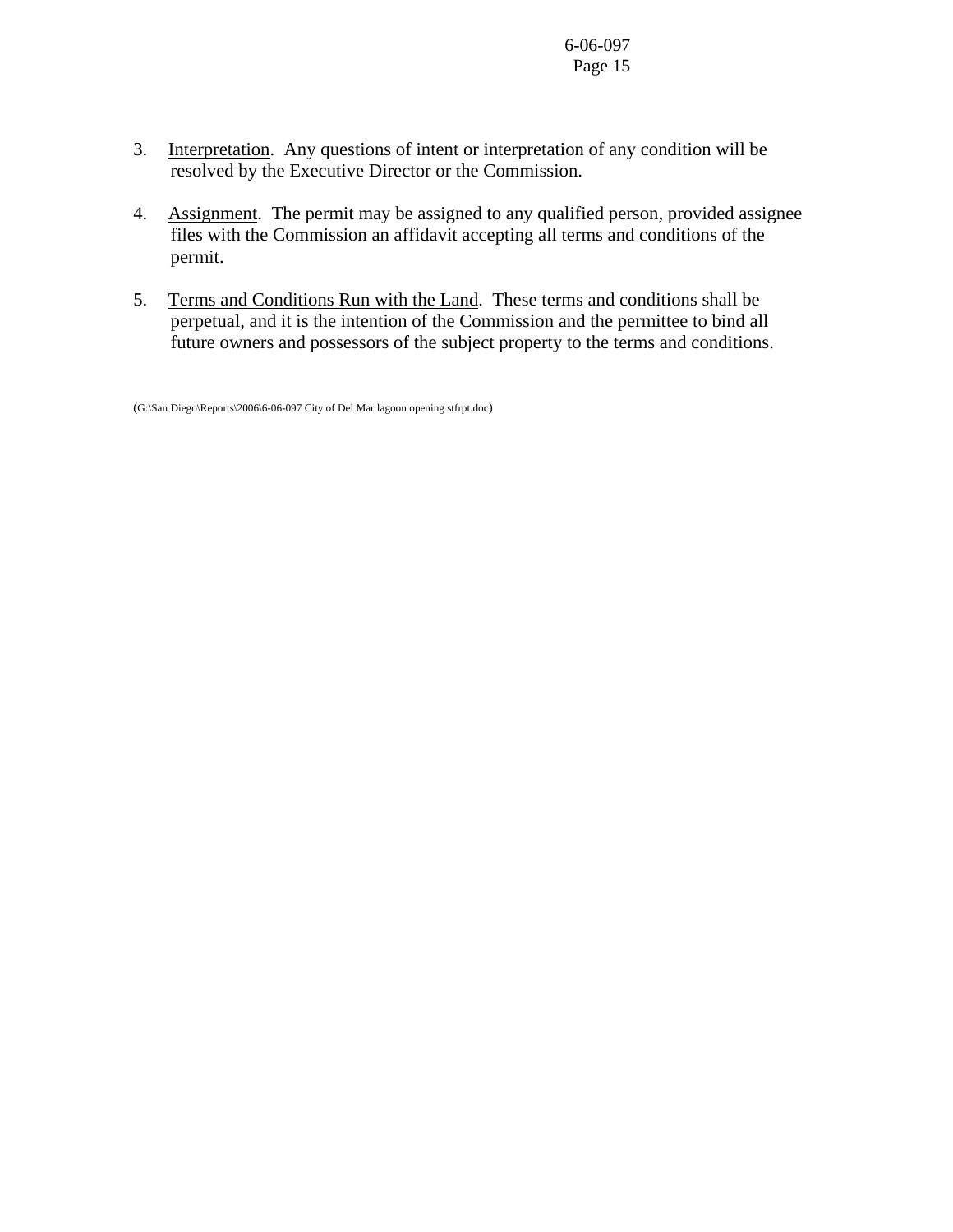- 3. Interpretation. Any questions of intent or interpretation of any condition will be resolved by the Executive Director or the Commission.
- 4. Assignment. The permit may be assigned to any qualified person, provided assignee files with the Commission an affidavit accepting all terms and conditions of the permit.
- 5. Terms and Conditions Run with the Land. These terms and conditions shall be perpetual, and it is the intention of the Commission and the permittee to bind all future owners and possessors of the subject property to the terms and conditions.

<sup>(</sup>G:\San Diego\Reports\2006\6-06-097 City of Del Mar lagoon opening stfrpt.doc)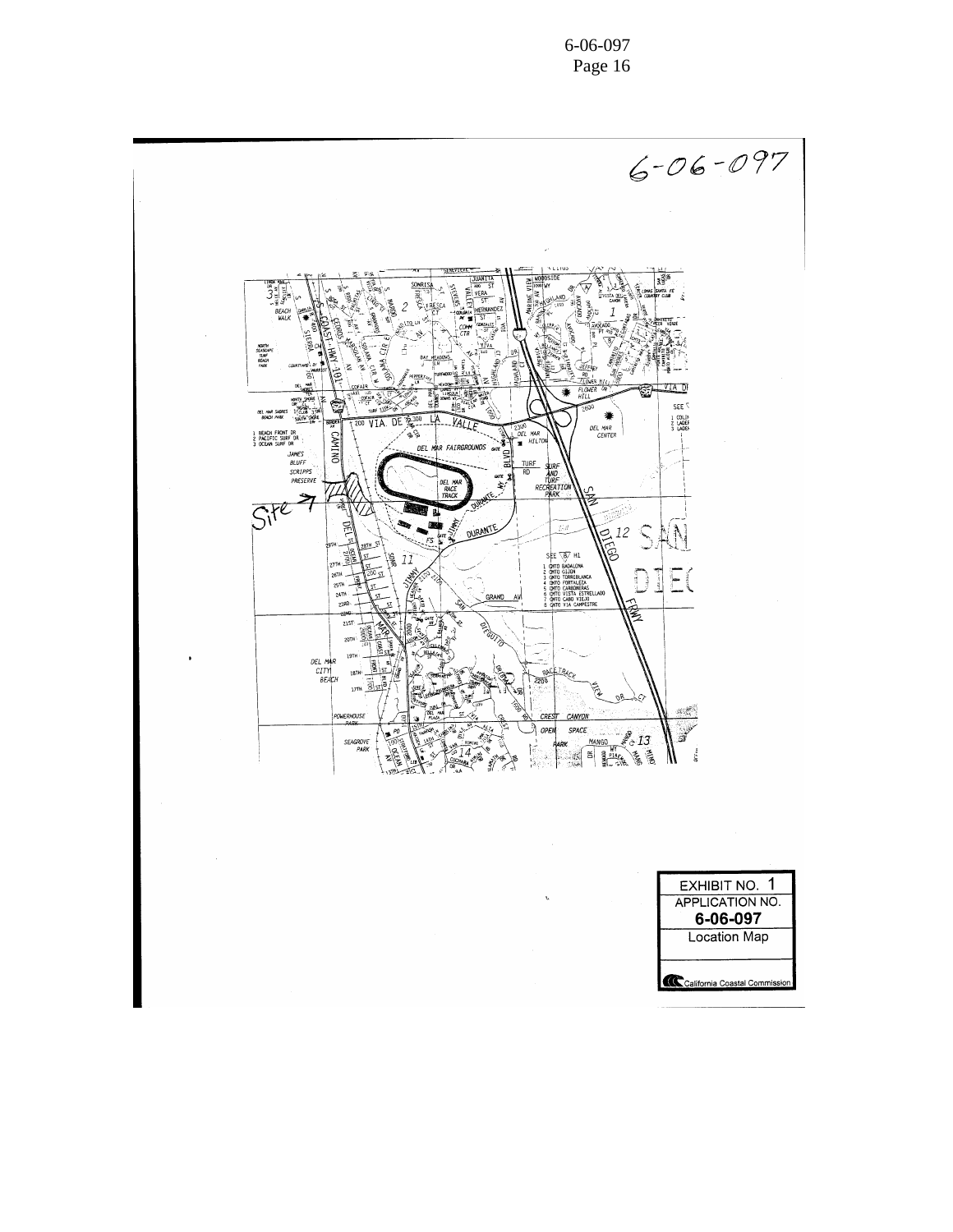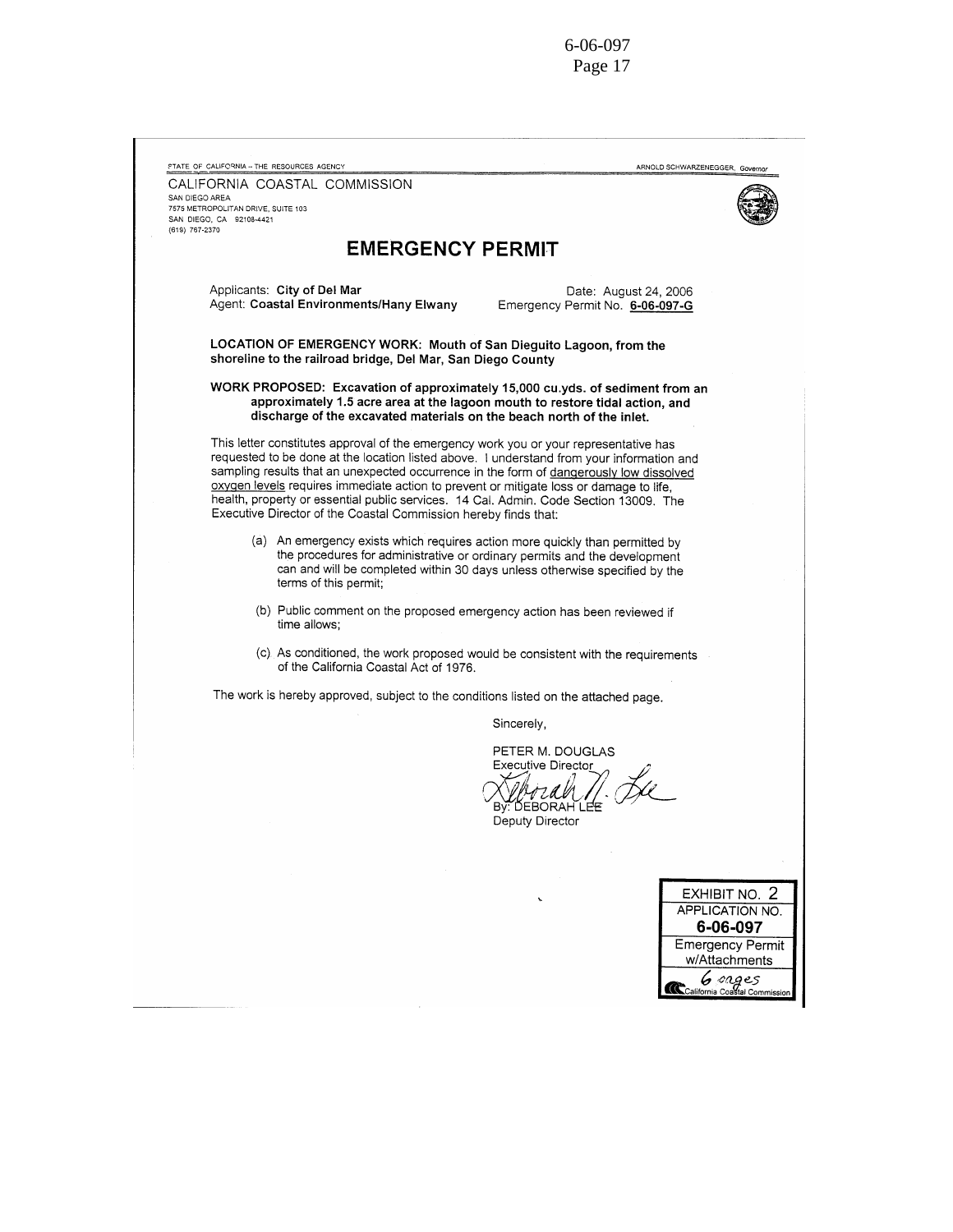| STATE OF CALIFORNIA -- THE RESOURCES AGENCY                                                                                                                                                                                                                                                                                                                                                                                                                                                                                         | ARNOLD SCHWARZENEGGER, Governor                                                                                                                                                                                                         |
|-------------------------------------------------------------------------------------------------------------------------------------------------------------------------------------------------------------------------------------------------------------------------------------------------------------------------------------------------------------------------------------------------------------------------------------------------------------------------------------------------------------------------------------|-----------------------------------------------------------------------------------------------------------------------------------------------------------------------------------------------------------------------------------------|
| CALIFORNIA COASTAL COMMISSION<br>SAN DIEGO AREA<br>7575 METROPOLITAN DRIVE, SUITE 103<br>SAN DIEGO, CA 92108-4421<br>(619) 767-2370                                                                                                                                                                                                                                                                                                                                                                                                 |                                                                                                                                                                                                                                         |
| <b>EMERGENCY PERMIT</b>                                                                                                                                                                                                                                                                                                                                                                                                                                                                                                             |                                                                                                                                                                                                                                         |
| Applicants: City of Del Mar<br>Agent: Coastal Environments/Hany Elwany                                                                                                                                                                                                                                                                                                                                                                                                                                                              | Date: August 24, 2006<br>Emergency Permit No. 6-06-097-G                                                                                                                                                                                |
| LOCATION OF EMERGENCY WORK: Mouth of San Dieguito Lagoon, from the<br>shoreline to the railroad bridge, Del Mar, San Diego County                                                                                                                                                                                                                                                                                                                                                                                                   |                                                                                                                                                                                                                                         |
| WORK PROPOSED: Excavation of approximately 15,000 cu.yds. of sediment from an<br>discharge of the excavated materials on the beach north of the inlet.                                                                                                                                                                                                                                                                                                                                                                              | approximately 1.5 acre area at the lagoon mouth to restore tidal action, and                                                                                                                                                            |
| This letter constitutes approval of the emergency work you or your representative has<br>requested to be done at the location listed above. I understand from your information and<br>sampling results that an unexpected occurrence in the form of dangerously low dissolved<br>oxygen levels requires immediate action to prevent or mitigate loss or damage to life,<br>health, property or essential public services. 14 Cal. Admin. Code Section 13009. The<br>Executive Director of the Coastal Commission hereby finds that: |                                                                                                                                                                                                                                         |
| terms of this permit;                                                                                                                                                                                                                                                                                                                                                                                                                                                                                                               | (a) An emergency exists which requires action more quickly than permitted by<br>the procedures for administrative or ordinary permits and the development<br>can and will be completed within 30 days unless otherwise specified by the |
| time allows:                                                                                                                                                                                                                                                                                                                                                                                                                                                                                                                        | (b) Public comment on the proposed emergency action has been reviewed if                                                                                                                                                                |
| of the California Coastal Act of 1976.                                                                                                                                                                                                                                                                                                                                                                                                                                                                                              | (c) As conditioned, the work proposed would be consistent with the requirements                                                                                                                                                         |
| The work is hereby approved, subject to the conditions listed on the attached page.                                                                                                                                                                                                                                                                                                                                                                                                                                                 |                                                                                                                                                                                                                                         |
|                                                                                                                                                                                                                                                                                                                                                                                                                                                                                                                                     | Sincerely,                                                                                                                                                                                                                              |
|                                                                                                                                                                                                                                                                                                                                                                                                                                                                                                                                     | PETER M. DOUGLAS<br><b>Executive Director</b><br>BV: DEBORAH LEE<br>Deputy Director                                                                                                                                                     |
|                                                                                                                                                                                                                                                                                                                                                                                                                                                                                                                                     |                                                                                                                                                                                                                                         |
|                                                                                                                                                                                                                                                                                                                                                                                                                                                                                                                                     | EXHIBIT NO. 2<br>APPLICATION NO.<br>6-06-097<br><b>Emergency Permit</b><br>w/Attachments<br>General onges                                                                                                                               |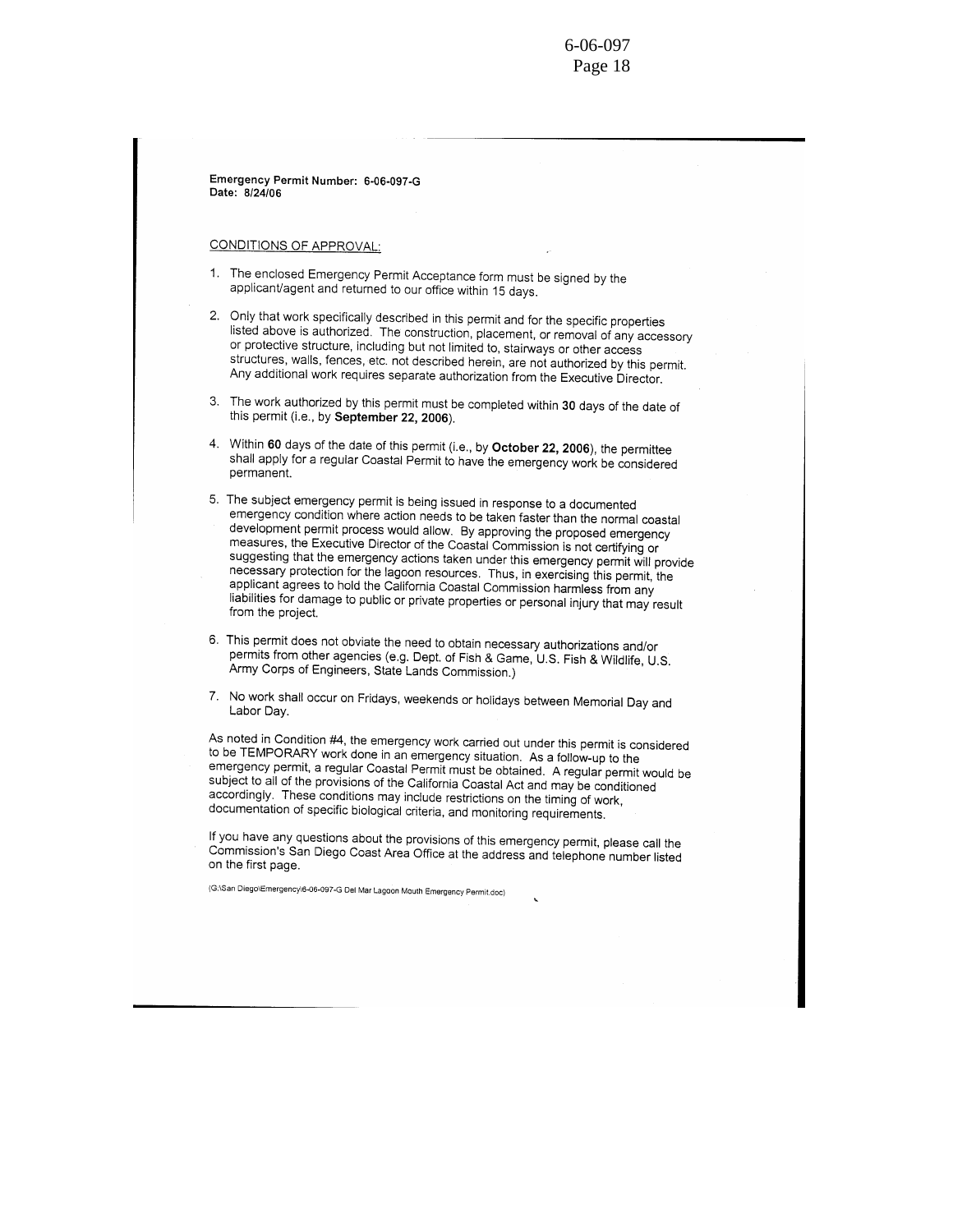Emergency Permit Number: 6-06-097-G Date: 8/24/06

CONDITIONS OF APPROVAL:

- 1. The enclosed Emergency Permit Acceptance form must be signed by the applicant/agent and returned to our office within 15 days.
- 2. Only that work specifically described in this permit and for the specific properties listed above is authorized. The construction, placement, or removal of any accessory or protective structure, including but not limited to, stairways or other access structures, walls, fences, etc. not described herein, are not authorized by this permit. Any additional work requires separate authorization from the Executive Director.
- 3. The work authorized by this permit must be completed within 30 days of the date of this permit (i.e., by September 22, 2006).
- 4. Within 60 days of the date of this permit (i.e., by October 22, 2006), the permittee shall apply for a regular Coastal Permit to have the emergency work be considered permanent.
- 5. The subject emergency permit is being issued in response to a documented emergency condition where action needs to be taken faster than the normal coastal development permit process would allow. By approving the proposed emergency measures, the Executive Director of the Coastal Commission is not certifying or suggesting that the emergency actions taken under this emergency permit will provide necessary protection for the lagoon resources. Thus, in exercising this permit, the applicant agrees to hold the California Coastal Commission harmless from any liabilities for damage to public or private properties or personal injury that may result from the project.
- 6. This permit does not obviate the need to obtain necessary authorizations and/or permits from other agencies (e.g. Dept. of Fish & Game, U.S. Fish & Wildlife, U.S. Army Corps of Engineers, State Lands Commission.)
- 7. No work shall occur on Fridays, weekends or holidays between Memorial Day and Labor Day.

As noted in Condition #4, the emergency work carried out under this permit is considered to be TEMPORARY work done in an emergency situation. As a follow-up to the emergency permit, a regular Coastal Permit must be obtained. A regular permit would be subject to all of the provisions of the California Coastal Act and may be conditioned accordingly. These conditions may include restrictions on the timing of work, documentation of specific biological criteria, and monitoring requirements.

If you have any questions about the provisions of this emergency permit, please call the Commission's San Diego Coast Area Office at the address and telephone number listed on the first page.

(G.\San Diego\Emergency\6-06-097-G Del Mar Lagoon Mouth Emergency Permit.doc)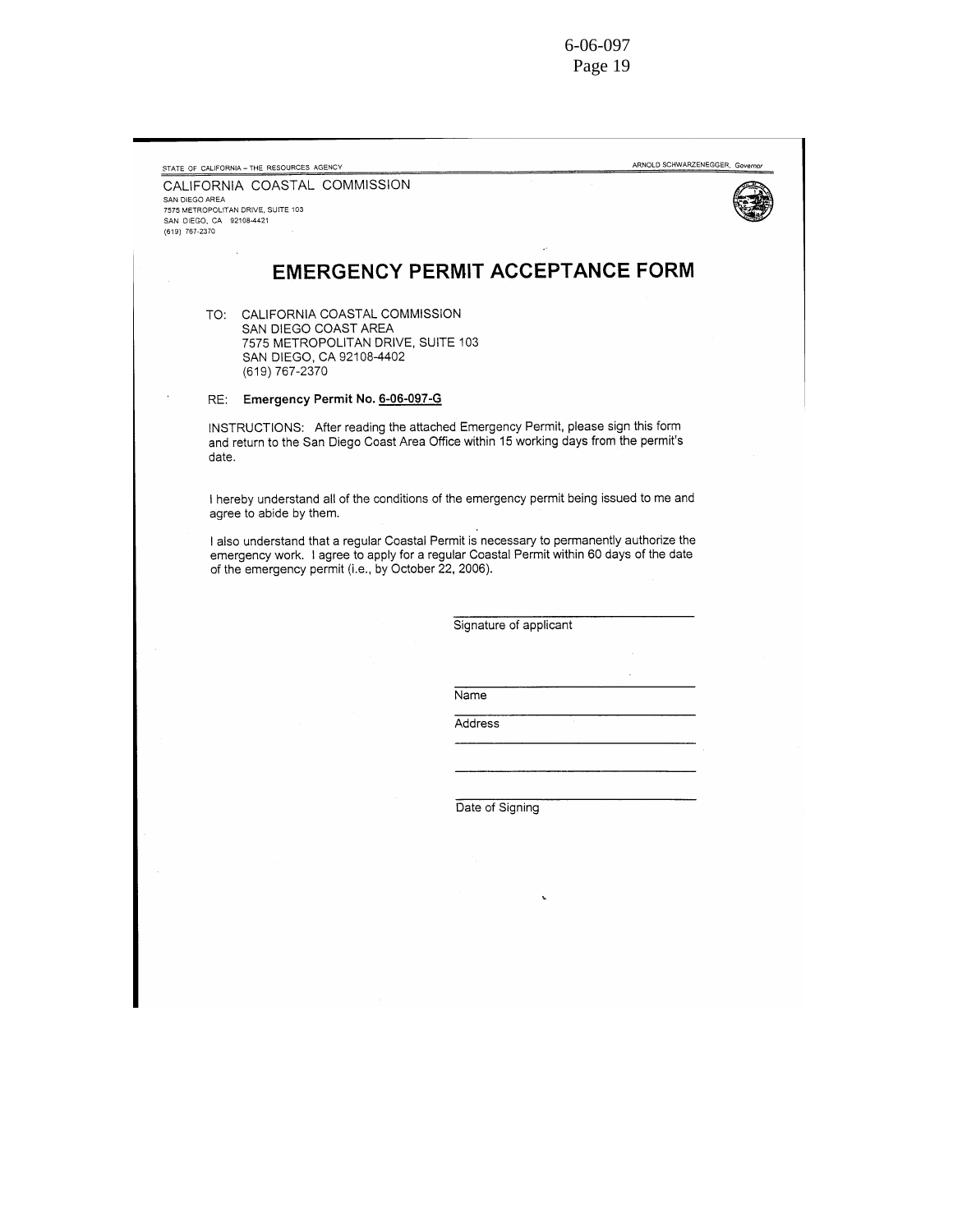| SAN DIEGO AREA           | CALIFORNIA COASTAL COMMISSION      |                                                                         |                                                                                                                                                                                       |  |
|--------------------------|------------------------------------|-------------------------------------------------------------------------|---------------------------------------------------------------------------------------------------------------------------------------------------------------------------------------|--|
| SAN DIEGO, CA 92108-4421 | 7575 METROPOLITAN DRIVE, SUITE 103 |                                                                         |                                                                                                                                                                                       |  |
| (619) 767-2370           |                                    |                                                                         |                                                                                                                                                                                       |  |
|                          |                                    |                                                                         | <b>EMERGENCY PERMIT ACCEPTANCE FORM</b>                                                                                                                                               |  |
|                          | SAN DIEGO COAST AREA               | TO: CALIFORNIA COASTAL COMMISSION<br>7575 METROPOLITAN DRIVE, SUITE 103 |                                                                                                                                                                                       |  |
|                          | (619) 767-2370                     | SAN DIEGO, CA 92108-4402                                                |                                                                                                                                                                                       |  |
| RE:                      |                                    | Emergency Permit No. 6-06-097-G                                         |                                                                                                                                                                                       |  |
| date.                    |                                    |                                                                         | INSTRUCTIONS: After reading the attached Emergency Permit, please sign this form<br>and return to the San Diego Coast Area Office within 15 working days from the permit's            |  |
|                          | agree to abide by them.            |                                                                         | I hereby understand all of the conditions of the emergency permit being issued to me and                                                                                              |  |
|                          |                                    | of the emergency permit (i.e., by October 22, 2006).                    | I also understand that a regular Coastal Permit is necessary to permanently authorize the<br>emergency work. I agree to apply for a regular Coastal Permit within 60 days of the date |  |
|                          |                                    |                                                                         |                                                                                                                                                                                       |  |
|                          |                                    |                                                                         | Signature of applicant                                                                                                                                                                |  |
|                          |                                    |                                                                         |                                                                                                                                                                                       |  |
|                          |                                    |                                                                         |                                                                                                                                                                                       |  |
|                          |                                    |                                                                         |                                                                                                                                                                                       |  |
|                          |                                    |                                                                         | Name                                                                                                                                                                                  |  |
|                          |                                    |                                                                         | Address                                                                                                                                                                               |  |
|                          |                                    |                                                                         |                                                                                                                                                                                       |  |
|                          |                                    |                                                                         |                                                                                                                                                                                       |  |
|                          |                                    |                                                                         | Date of Signing                                                                                                                                                                       |  |
|                          |                                    |                                                                         |                                                                                                                                                                                       |  |
|                          |                                    |                                                                         | S.                                                                                                                                                                                    |  |
|                          |                                    |                                                                         |                                                                                                                                                                                       |  |
|                          |                                    |                                                                         |                                                                                                                                                                                       |  |
|                          |                                    |                                                                         |                                                                                                                                                                                       |  |
|                          |                                    |                                                                         |                                                                                                                                                                                       |  |
|                          |                                    |                                                                         |                                                                                                                                                                                       |  |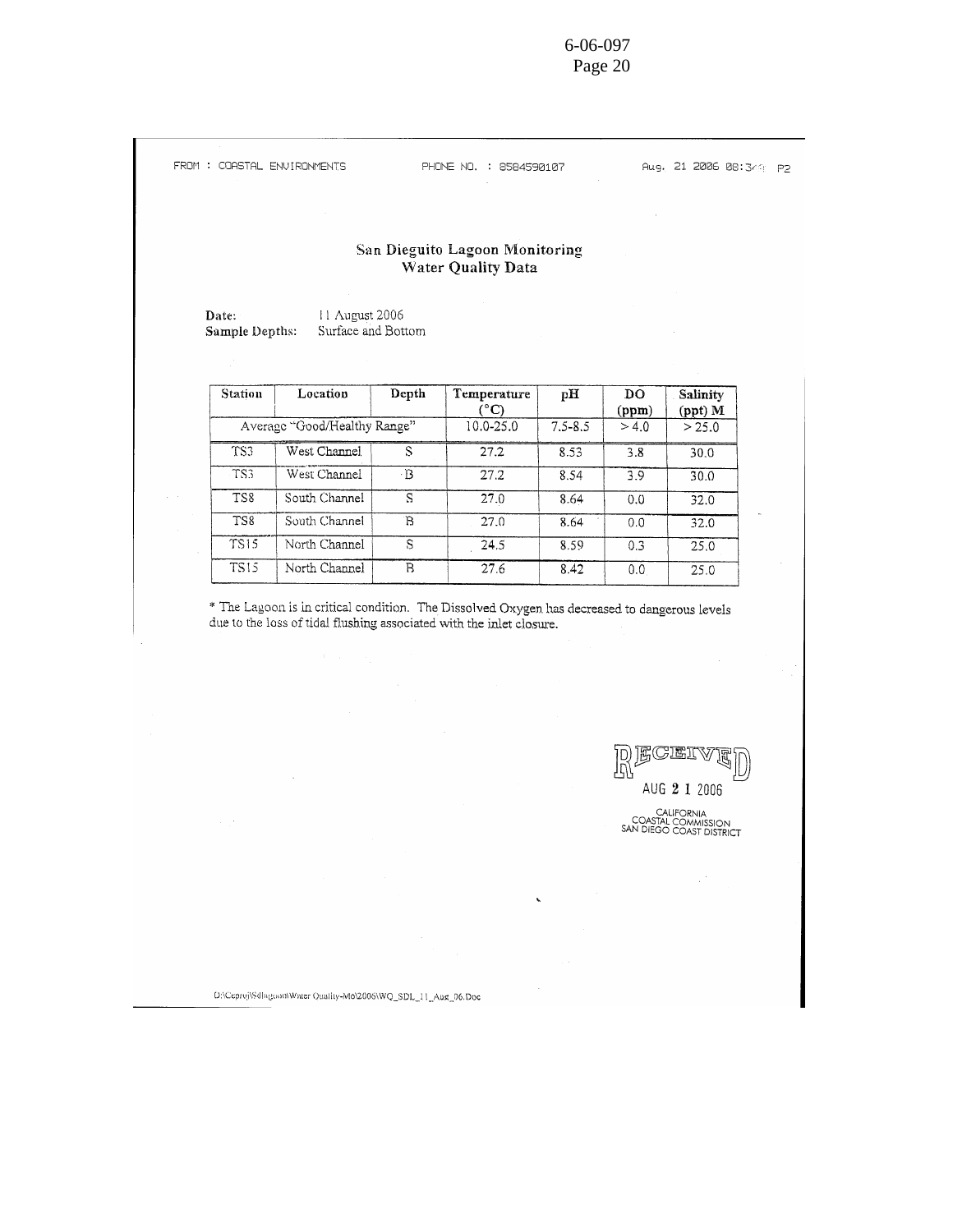PHONE NO. : 8584590107

Aug. 21 2006 08:349 P2

#### San Dieguito Lagoon Monitoring Water Quality Data

Date: 11 August 2006 Surface and Bottom Sample Depths:

| Station     | Location                     | Depth | Temperature<br>°C) | pН          | DO<br>(ppm) | Salinity<br>(ppt) M |
|-------------|------------------------------|-------|--------------------|-------------|-------------|---------------------|
|             | Average "Good/Healthy Range" |       | 10.0-25.0          | $7.5 - 8.5$ | > 4.0       | > 25.0              |
| TS3         | West Channel                 |       | 27.2               | 8.53        | 3.8         | 30.0                |
| TS3         | West Channel                 | - B   | 27.2               | 8.54        | 3.9         | 30.0                |
| TS8         | South Channel                | S     | 27.0               | 8.64        | 0.0         | 32.0                |
| TS8         | South Channel                | B     | 27.0               | 8.64        | 0.0         | 32.0                |
| <b>TS15</b> | North Channel                | S     | 24.5               | 8.59        | 0.3         | 25.0                |
| <b>TS15</b> | North Channel                | В     | 27.6               | 8.42        | 0,0         | 25.0                |

\* The Lagoon is in critical condition. The Dissolved Oxygen has decreased to dangerous levels due to the loss of tidal flushing associated with the inlet closure.



 $\textsf{D}\textsf{:Ceproj}\textsf{t}\textsf{S} \textsf{d} \textsf{h} \textsf{g} \textsf{con} \textsf{W} \textsf{after} \textsf{Qualty-Mo}\textsf{2006}\textsf{WQ\_SDL\_11\_Aug\_06.}\textsf{Doc}$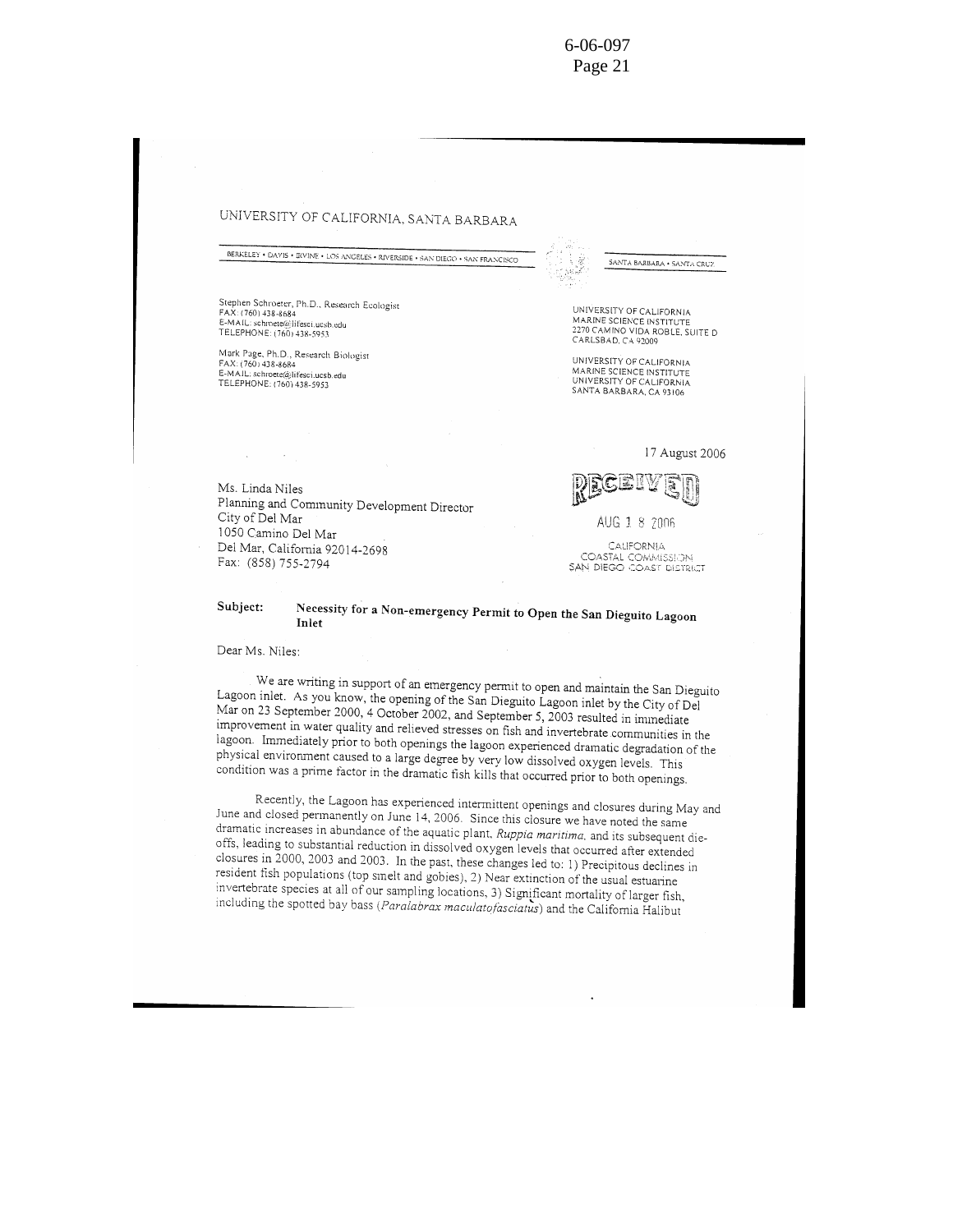#### UNIVERSITY OF CALIFORNIA, SANTA BARBARA

BERKELEY . DAVIS . BUINE . LOS ANGELES . RIVERSIDE . SAN DIEGO . SAN FRANCISCO

Stephen Schroeter, Ph.D., Research Ecologist FAX: (760) 438-8684 E-MAIL: schroete@lifesci.ucsb.edu<br>TELEPHONE: (760) 438-5953

Mark Page, Ph.D., Research Biologist FAX: (760) 438-8684 FAA: (10011450-6064)<br>E-MAIL: schroete@lifesci.ucsb.edu<br>TELEPHONE: (760) 438-5953

UNIVERSITY OF CALIFORNIA<br>MARINE SCIENCE INSTITUTE<br>2270 CAMINO VIDA ROBLE, SUITE D

SANTA BARBARA . SANTA CRUZ

UNIVERSITY OF CALIFORNIA MARINE SCIENCE INSTITUTE UNIVERSITY OF CALIFORNIA<br>SANTA BARBARA, CA 93106

CARLSBAD, CA 92009

17 August 2006



AUG 1 8 2006

CALIFORNIA COASTAL COMMISSION<br>SAN DIEGO COAST DISTRICT

Ms. Linda Niles Planning and Community Development Director City of Del Mar 1050 Camino Del Mar Del Mar, California 92014-2698 Fax: (858) 755-2794

#### Subject: Necessity for a Non-emergency Permit to Open the San Dieguito Lagoon Inlet

Dear Ms. Niles:

We are writing in support of an emergency permit to open and maintain the San Dieguito Lagoon inlet. As you know, the opening of the San Dieguito Lagoon inlet by the City of Del Mar on 23 September 2000, 4 October 2002, and September 5, 2003 resulted in immediate improvement in water quality and relieved stresses on fish and invertebrate communities in the lagoon. Immediately prior to both openings the lagoon experienced dramatic degradation of the physical environment caused to a large degree by very low dissolved oxygen levels. This condition was a prime factor in the dramatic fish kills that occurred prior to both openings.

Recently, the Lagoon has experienced intermittent openings and closures during May and June and closed permanently on June 14, 2006. Since this closure we have noted the same dramatic increases in abundance of the aquatic plant, Ruppia maritima, and its subsequent dieoffs, leading to substantial reduction in dissolved oxygen levels that occurred after extended closures in 2000, 2003 and 2003. In the past, these changes led to: 1) Precipitous declines in resident fish populations (top smelt and gobies), 2) Near extinction of the usual estuarine invertebrate species at all of our sampling locations, 3) Significant mortality of larger fish, including the spotted bay bass (Paralabrax maculatofasciatus) and the California Halibut